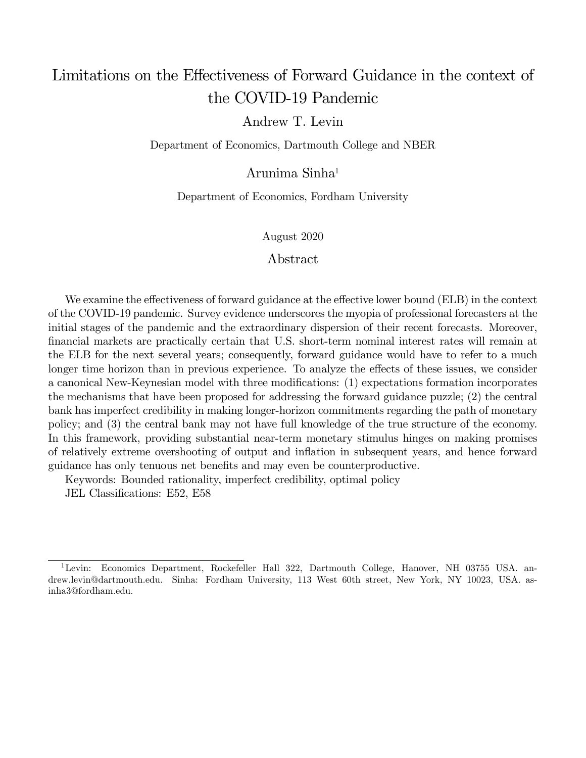# Limitations on the Effectiveness of Forward Guidance in the context of the COVID-19 Pandemic

### Andrew T. Levin

Department of Economics, Dartmouth College and NBER

Arunima Sinha<sup>1</sup>

Department of Economics, Fordham University

August 2020

### Abstract

We examine the effectiveness of forward guidance at the effective lower bound (ELB) in the context of the COVID-19 pandemic. Survey evidence underscores the myopia of professional forecasters at the initial stages of the pandemic and the extraordinary dispersion of their recent forecasts. Moreover, financial markets are practically certain that U.S. short-term nominal interest rates will remain at the ELB for the next several years; consequently, forward guidance would have to refer to a much longer time horizon than in previous experience. To analyze the effects of these issues, we consider a canonical New-Keynesian model with three modifications: (1) expectations formation incorporates the mechanisms that have been proposed for addressing the forward guidance puzzle; (2) the central bank has imperfect credibility in making longer-horizon commitments regarding the path of monetary policy; and (3) the central bank may not have full knowledge of the true structure of the economy. In this framework, providing substantial near-term monetary stimulus hinges on making promises of relatively extreme overshooting of output and ináation in subsequent years, and hence forward guidance has only tenuous net beneÖts and may even be counterproductive.

Keywords: Bounded rationality, imperfect credibility, optimal policy

JEL Classifications: E52, E58

<sup>&</sup>lt;sup>1</sup>Levin: Economics Department, Rockefeller Hall 322, Dartmouth College, Hanover, NH 03755 USA. andrew.levin@dartmouth.edu. Sinha: Fordham University, 113 West 60th street, New York, NY 10023, USA. asinha3@fordham.edu.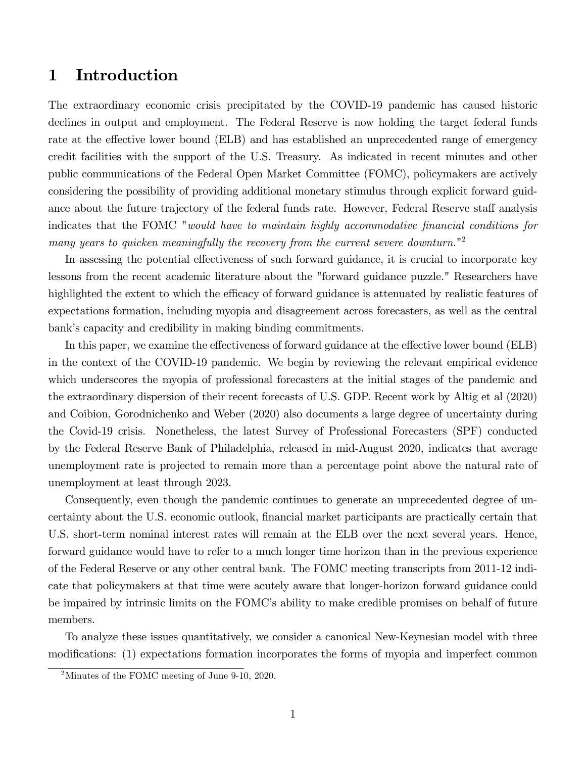## 1 Introduction

The extraordinary economic crisis precipitated by the COVID-19 pandemic has caused historic declines in output and employment. The Federal Reserve is now holding the target federal funds rate at the effective lower bound (ELB) and has established an unprecedented range of emergency credit facilities with the support of the U.S. Treasury. As indicated in recent minutes and other public communications of the Federal Open Market Committee (FOMC), policymakers are actively considering the possibility of providing additional monetary stimulus through explicit forward guidance about the future trajectory of the federal funds rate. However, Federal Reserve staff analysis indicates that the FOMC "would have to maintain highly accommodative financial conditions for many years to quicken meaningfully the recovery from the current severe downturn.<sup>"2</sup>

In assessing the potential effectiveness of such forward guidance, it is crucial to incorporate key lessons from the recent academic literature about the "forward guidance puzzle." Researchers have highlighted the extent to which the efficacy of forward guidance is attenuated by realistic features of expectations formation, including myopia and disagreement across forecasters, as well as the central bank's capacity and credibility in making binding commitments.

In this paper, we examine the effectiveness of forward guidance at the effective lower bound (ELB) in the context of the COVID-19 pandemic. We begin by reviewing the relevant empirical evidence which underscores the myopia of professional forecasters at the initial stages of the pandemic and the extraordinary dispersion of their recent forecasts of U.S. GDP. Recent work by Altig et al (2020) and Coibion, Gorodnichenko and Weber (2020) also documents a large degree of uncertainty during the Covid-19 crisis. Nonetheless, the latest Survey of Professional Forecasters (SPF) conducted by the Federal Reserve Bank of Philadelphia, released in mid-August 2020, indicates that average unemployment rate is projected to remain more than a percentage point above the natural rate of unemployment at least through 2023.

Consequently, even though the pandemic continues to generate an unprecedented degree of uncertainty about the U.S. economic outlook, Önancial market participants are practically certain that U.S. short-term nominal interest rates will remain at the ELB over the next several years. Hence, forward guidance would have to refer to a much longer time horizon than in the previous experience of the Federal Reserve or any other central bank. The FOMC meeting transcripts from 2011-12 indicate that policymakers at that time were acutely aware that longer-horizon forward guidance could be impaired by intrinsic limits on the FOMC's ability to make credible promises on behalf of future members.

To analyze these issues quantitatively, we consider a canonical New-Keynesian model with three modifications: (1) expectations formation incorporates the forms of myopia and imperfect common

<sup>2</sup>Minutes of the FOMC meeting of June 9-10, 2020.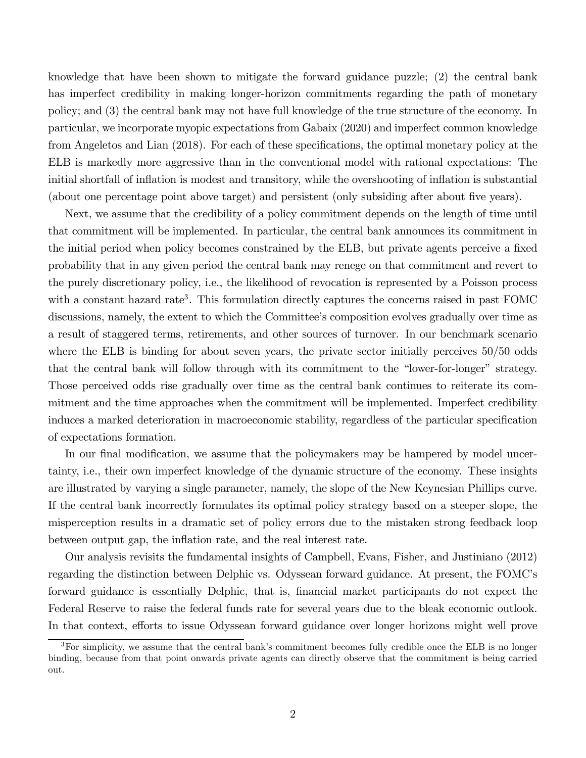knowledge that have been shown to mitigate the forward guidance puzzle; (2) the central bank has imperfect credibility in making longer-horizon commitments regarding the path of monetary policy; and (3) the central bank may not have full knowledge of the true structure of the economy. In particular, we incorporate myopic expectations from Gabaix (2020) and imperfect common knowledge from Angeletos and Lian (2018). For each of these specifications, the optimal monetary policy at the ELB is markedly more aggressive than in the conventional model with rational expectations: The initial shortfall of inflation is modest and transitory, while the overshooting of inflation is substantial (about one percentage point above target) and persistent (only subsiding after about five years).

Next, we assume that the credibility of a policy commitment depends on the length of time until that commitment will be implemented. In particular, the central bank announces its commitment in the initial period when policy becomes constrained by the ELB, but private agents perceive a fixed probability that in any given period the central bank may renege on that commitment and revert to the purely discretionary policy, i.e., the likelihood of revocation is represented by a Poisson process with a constant hazard rate<sup>3</sup>. This formulation directly captures the concerns raised in past FOMC discussions, namely, the extent to which the Committee's composition evolves gradually over time as a result of staggered terms, retirements, and other sources of turnover. In our benchmark scenario where the ELB is binding for about seven years, the private sector initially perceives  $50/50$  odds that the central bank will follow through with its commitment to the "lower-for-longer" strategy. Those perceived odds rise gradually over time as the central bank continues to reiterate its commitment and the time approaches when the commitment will be implemented. Imperfect credibility induces a marked deterioration in macroeconomic stability, regardless of the particular specification of expectations formation.

In our final modification, we assume that the policymakers may be hampered by model uncertainty, i.e., their own imperfect knowledge of the dynamic structure of the economy. These insights are illustrated by varying a single parameter, namely, the slope of the New Keynesian Phillips curve. If the central bank incorrectly formulates its optimal policy strategy based on a steeper slope, the misperception results in a dramatic set of policy errors due to the mistaken strong feedback loop between output gap, the inflation rate, and the real interest rate.

Our analysis revisits the fundamental insights of Campbell, Evans, Fisher, and Justiniano (2012) regarding the distinction between Delphic vs. Odyssean forward guidance. At present, the FOMC's forward guidance is essentially Delphic, that is, Önancial market participants do not expect the Federal Reserve to raise the federal funds rate for several years due to the bleak economic outlook. In that context, efforts to issue Odyssean forward guidance over longer horizons might well prove

 $3$ For simplicity, we assume that the central bank's commitment becomes fully credible once the ELB is no longer binding, because from that point onwards private agents can directly observe that the commitment is being carried out.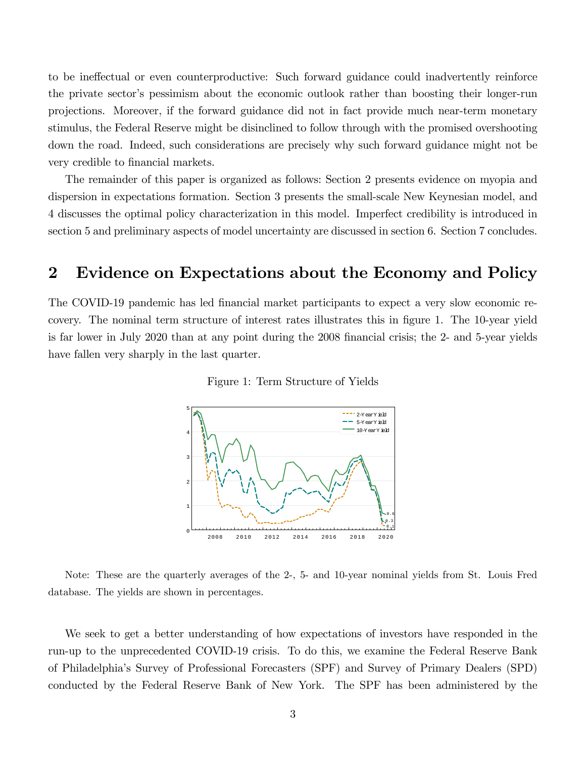to be ineffectual or even counterproductive: Such forward guidance could inadvertently reinforce the private sector's pessimism about the economic outlook rather than boosting their longer-run projections. Moreover, if the forward guidance did not in fact provide much near-term monetary stimulus, the Federal Reserve might be disinclined to follow through with the promised overshooting down the road. Indeed, such considerations are precisely why such forward guidance might not be very credible to financial markets.

The remainder of this paper is organized as follows: Section 2 presents evidence on myopia and dispersion in expectations formation. Section 3 presents the small-scale New Keynesian model, and 4 discusses the optimal policy characterization in this model. Imperfect credibility is introduced in section 5 and preliminary aspects of model uncertainty are discussed in section 6. Section 7 concludes.

## 2 Evidence on Expectations about the Economy and Policy

The COVID-19 pandemic has led financial market participants to expect a very slow economic recovery. The nominal term structure of interest rates illustrates this in figure 1. The 10-year yield is far lower in July 2020 than at any point during the 2008 financial crisis; the 2- and 5-year yields have fallen very sharply in the last quarter.

Figure 1: Term Structure of Yields



Note: These are the quarterly averages of the 2-, 5- and 10-year nominal yields from St. Louis Fred database. The yields are shown in percentages.

We seek to get a better understanding of how expectations of investors have responded in the run-up to the unprecedented COVID-19 crisis. To do this, we examine the Federal Reserve Bank of Philadelphiaís Survey of Professional Forecasters (SPF) and Survey of Primary Dealers (SPD) conducted by the Federal Reserve Bank of New York. The SPF has been administered by the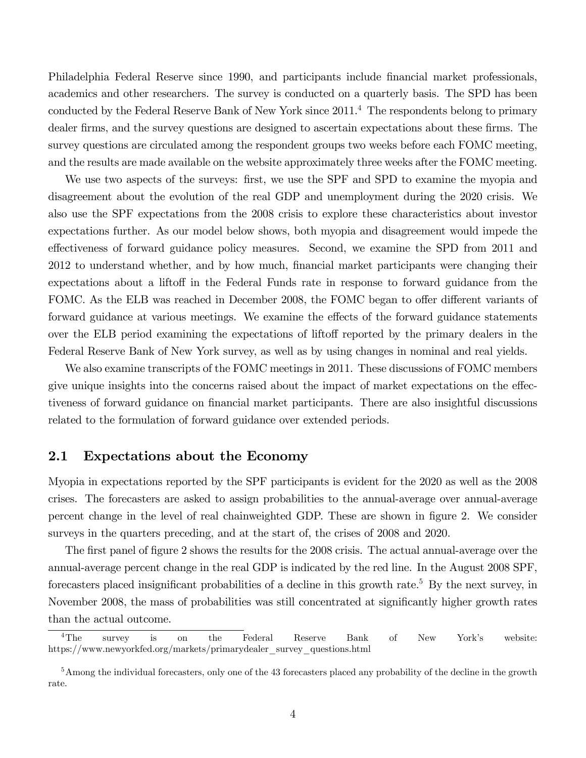Philadelphia Federal Reserve since 1990, and participants include financial market professionals, academics and other researchers. The survey is conducted on a quarterly basis. The SPD has been conducted by the Federal Reserve Bank of New York since 2011.<sup>4</sup> The respondents belong to primary dealer firms, and the survey questions are designed to ascertain expectations about these firms. The survey questions are circulated among the respondent groups two weeks before each FOMC meeting, and the results are made available on the website approximately three weeks after the FOMC meeting.

We use two aspects of the surveys: first, we use the SPF and SPD to examine the myopia and disagreement about the evolution of the real GDP and unemployment during the 2020 crisis. We also use the SPF expectations from the 2008 crisis to explore these characteristics about investor expectations further. As our model below shows, both myopia and disagreement would impede the effectiveness of forward guidance policy measures. Second, we examine the SPD from 2011 and 2012 to understand whether, and by how much, Önancial market participants were changing their expectations about a liftoff in the Federal Funds rate in response to forward guidance from the FOMC. As the ELB was reached in December 2008, the FOMC began to offer different variants of forward guidance at various meetings. We examine the effects of the forward guidance statements over the ELB period examining the expectations of liftoff reported by the primary dealers in the Federal Reserve Bank of New York survey, as well as by using changes in nominal and real yields.

We also examine transcripts of the FOMC meetings in 2011. These discussions of FOMC members give unique insights into the concerns raised about the impact of market expectations on the effectiveness of forward guidance on financial market participants. There are also insightful discussions related to the formulation of forward guidance over extended periods.

### 2.1 Expectations about the Economy

Myopia in expectations reported by the SPF participants is evident for the 2020 as well as the 2008 crises. The forecasters are asked to assign probabilities to the annual-average over annual-average percent change in the level of real chainweighted GDP. These are shown in figure 2. We consider surveys in the quarters preceding, and at the start of, the crises of 2008 and 2020.

The first panel of figure 2 shows the results for the 2008 crisis. The actual annual-average over the annual-average percent change in the real GDP is indicated by the red line. In the August 2008 SPF, forecasters placed insignificant probabilities of a decline in this growth rate.<sup>5</sup> By the next survey, in November 2008, the mass of probabilities was still concentrated at significantly higher growth rates than the actual outcome.

 ${}^{4}$ The survey is on the Federal Reserve Bank of New York's website: https://www.newyorkfed.org/markets/primarydealer\_survey\_questions.html

<sup>5</sup>Among the individual forecasters, only one of the 43 forecasters placed any probability of the decline in the growth rate.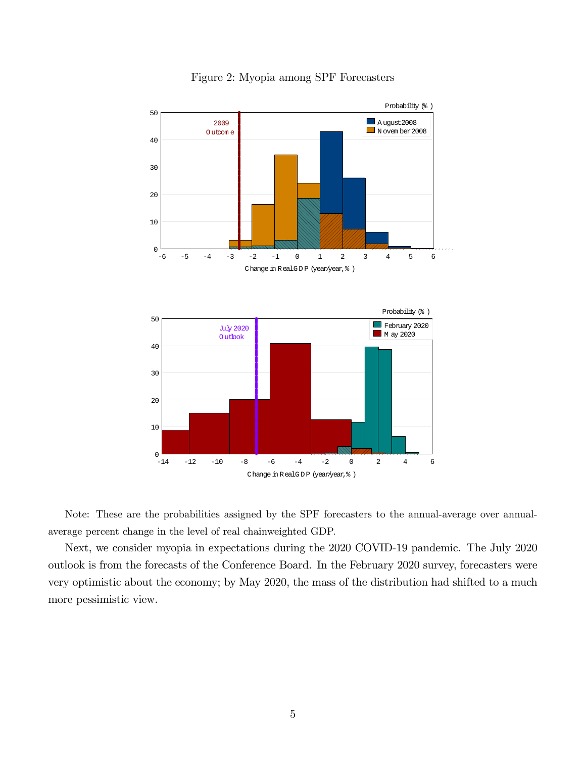

Figure 2: Myopia among SPF Forecasters

Note: These are the probabilities assigned by the SPF forecasters to the annual-average over annualaverage percent change in the level of real chainweighted GDP.

Next, we consider myopia in expectations during the 2020 COVID-19 pandemic. The July 2020 outlook is from the forecasts of the Conference Board. In the February 2020 survey, forecasters were very optimistic about the economy; by May 2020, the mass of the distribution had shifted to a much more pessimistic view.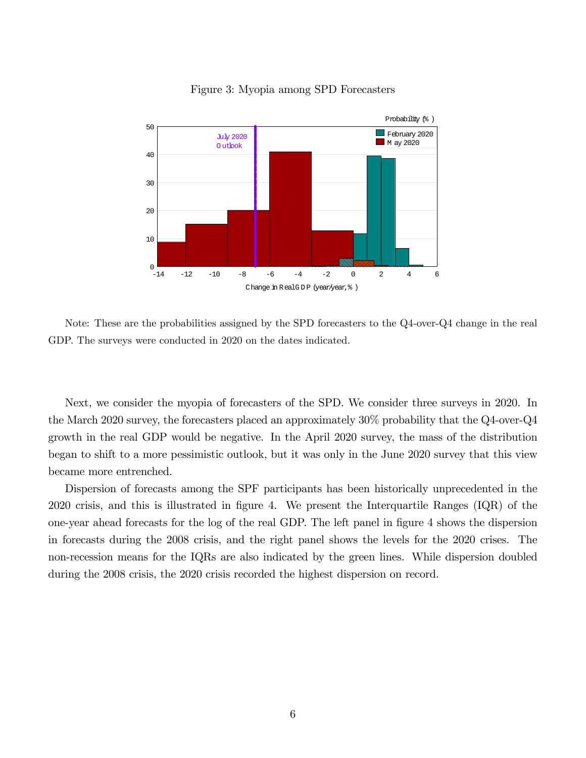

Figure 3: Myopia among SPD Forecasters

Note: These are the probabilities assigned by the SPD forecasters to the Q4-over-Q4 change in the real GDP. The surveys were conducted in 2020 on the dates indicated.

Next, we consider the myopia of forecasters of the SPD. We consider three surveys in 2020. In the March 2020 survey, the forecasters placed an approximately 30% probability that the Q4-over-Q4 growth in the real GDP would be negative. In the April 2020 survey, the mass of the distribution began to shift to a more pessimistic outlook, but it was only in the June 2020 survey that this view became more entrenched.

Dispersion of forecasts among the SPF participants has been historically unprecedented in the 2020 crisis, and this is illustrated in Ögure 4. We present the Interquartile Ranges (IQR) of the one-year ahead forecasts for the log of the real GDP. The left panel in Ögure 4 shows the dispersion in forecasts during the 2008 crisis, and the right panel shows the levels for the 2020 crises. The non-recession means for the IQRs are also indicated by the green lines. While dispersion doubled during the 2008 crisis, the 2020 crisis recorded the highest dispersion on record.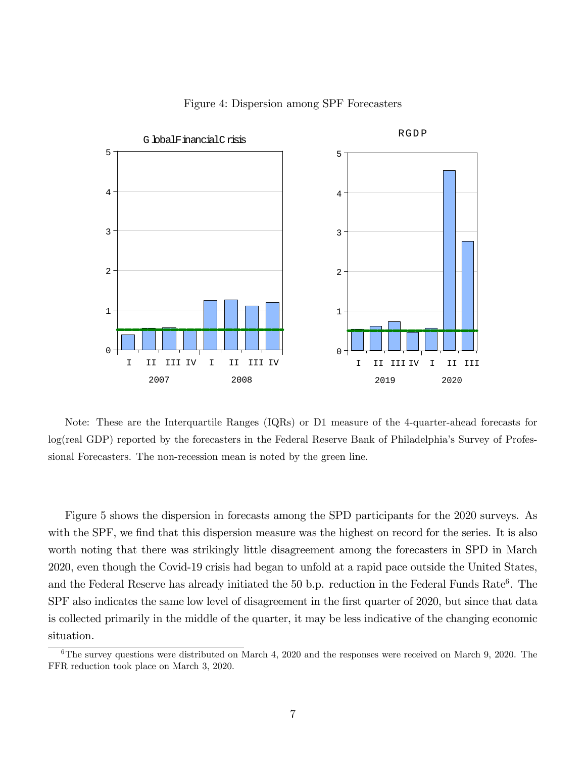

Figure 4: Dispersion among SPF Forecasters

Note: These are the Interquartile Ranges (IQRs) or D1 measure of the 4-quarter-ahead forecasts for log(real GDP) reported by the forecasters in the Federal Reserve Bank of Philadelphiaís Survey of Professional Forecasters. The non-recession mean is noted by the green line.

Figure 5 shows the dispersion in forecasts among the SPD participants for the 2020 surveys. As with the SPF, we find that this dispersion measure was the highest on record for the series. It is also worth noting that there was strikingly little disagreement among the forecasters in SPD in March 2020, even though the Covid-19 crisis had began to unfold at a rapid pace outside the United States, and the Federal Reserve has already initiated the  $50$  b.p. reduction in the Federal Funds Rate<sup>6</sup>. The SPF also indicates the same low level of disagreement in the first quarter of 2020, but since that data is collected primarily in the middle of the quarter, it may be less indicative of the changing economic situation.

 $6$ The survey questions were distributed on March 4, 2020 and the responses were received on March 9, 2020. The FFR reduction took place on March 3, 2020.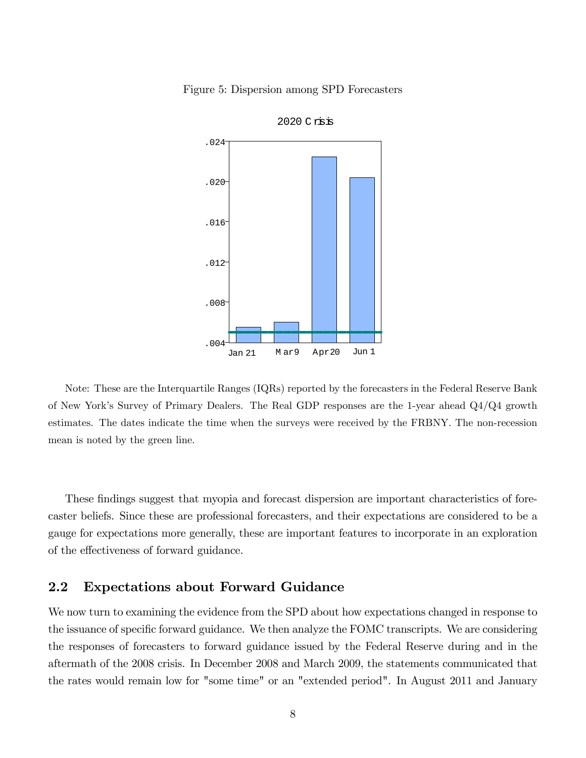





Note: These are the Interquartile Ranges (IQRs) reported by the forecasters in the Federal Reserve Bank of New Yorkís Survey of Primary Dealers. The Real GDP responses are the 1-year ahead Q4/Q4 growth estimates. The dates indicate the time when the surveys were received by the FRBNY. The non-recession mean is noted by the green line.

These findings suggest that myopia and forecast dispersion are important characteristics of forecaster beliefs. Since these are professional forecasters, and their expectations are considered to be a gauge for expectations more generally, these are important features to incorporate in an exploration of the effectiveness of forward guidance.

### 2.2 Expectations about Forward Guidance

We now turn to examining the evidence from the SPD about how expectations changed in response to the issuance of specific forward guidance. We then analyze the FOMC transcripts. We are considering the responses of forecasters to forward guidance issued by the Federal Reserve during and in the aftermath of the 2008 crisis. In December 2008 and March 2009, the statements communicated that the rates would remain low for "some time" or an "extended period". In August 2011 and January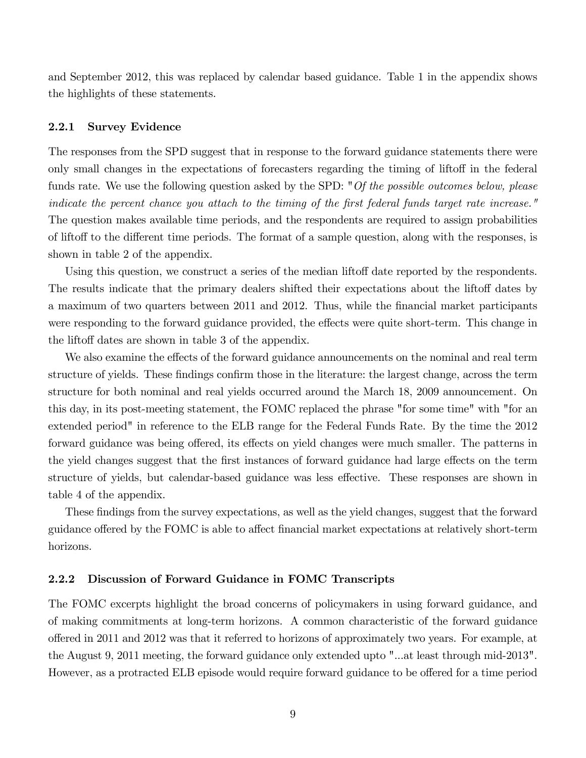and September 2012, this was replaced by calendar based guidance. Table 1 in the appendix shows the highlights of these statements.

#### 2.2.1 Survey Evidence

The responses from the SPD suggest that in response to the forward guidance statements there were only small changes in the expectations of forecasters regarding the timing of liftoff in the federal funds rate. We use the following question asked by the SPD: "Of the possible outcomes below, please indicate the percent chance you attach to the timing of the Örst federal funds target rate increase." The question makes available time periods, and the respondents are required to assign probabilities of liftoff to the different time periods. The format of a sample question, along with the responses, is shown in table 2 of the appendix.

Using this question, we construct a series of the median liftoff date reported by the respondents. The results indicate that the primary dealers shifted their expectations about the liftoff dates by a maximum of two quarters between 2011 and 2012. Thus, while the Önancial market participants were responding to the forward guidance provided, the effects were quite short-term. This change in the liftoff dates are shown in table 3 of the appendix.

We also examine the effects of the forward guidance announcements on the nominal and real term structure of yields. These findings confirm those in the literature: the largest change, across the term structure for both nominal and real yields occurred around the March 18, 2009 announcement. On this day, in its post-meeting statement, the FOMC replaced the phrase "for some time" with "for an extended period" in reference to the ELB range for the Federal Funds Rate. By the time the 2012 forward guidance was being offered, its effects on yield changes were much smaller. The patterns in the yield changes suggest that the first instances of forward guidance had large effects on the term structure of yields, but calendar-based guidance was less effective. These responses are shown in table 4 of the appendix.

These findings from the survey expectations, as well as the yield changes, suggest that the forward guidance offered by the FOMC is able to affect financial market expectations at relatively short-term horizons.

#### 2.2.2 Discussion of Forward Guidance in FOMC Transcripts

The FOMC excerpts highlight the broad concerns of policymakers in using forward guidance, and of making commitments at long-term horizons. A common characteristic of the forward guidance o§ered in 2011 and 2012 was that it referred to horizons of approximately two years. For example, at the August 9, 2011 meeting, the forward guidance only extended upto "...at least through mid-2013". However, as a protracted ELB episode would require forward guidance to be offered for a time period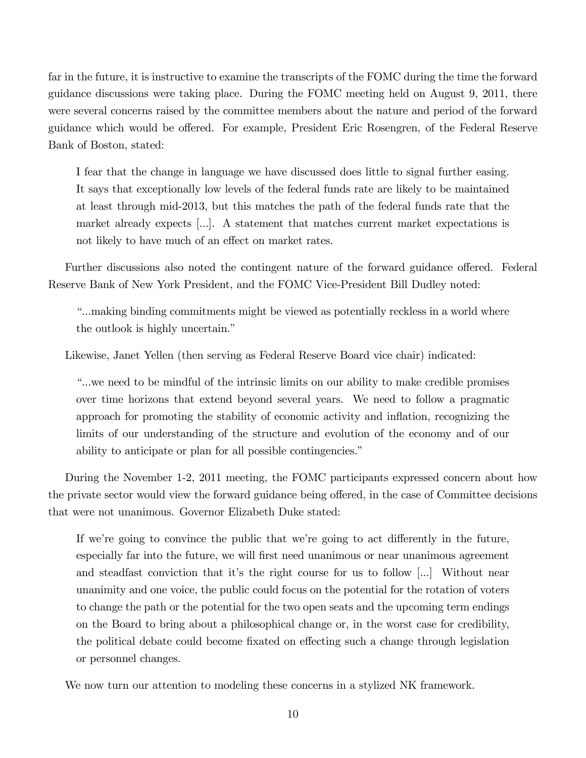far in the future, it is instructive to examine the transcripts of the FOMC during the time the forward guidance discussions were taking place. During the FOMC meeting held on August 9, 2011, there were several concerns raised by the committee members about the nature and period of the forward guidance which would be offered. For example, President Eric Rosengren, of the Federal Reserve Bank of Boston, stated:

I fear that the change in language we have discussed does little to signal further easing. It says that exceptionally low levels of the federal funds rate are likely to be maintained at least through mid-2013, but this matches the path of the federal funds rate that the market already expects [...]. A statement that matches current market expectations is not likely to have much of an effect on market rates.

Further discussions also noted the contingent nature of the forward guidance offered. Federal Reserve Bank of New York President, and the FOMC Vice-President Bill Dudley noted:

ì...making binding commitments might be viewed as potentially reckless in a world where the outlook is highly uncertain.<sup>"</sup>

Likewise, Janet Yellen (then serving as Federal Reserve Board vice chair) indicated:

ì...we need to be mindful of the intrinsic limits on our ability to make credible promises over time horizons that extend beyond several years. We need to follow a pragmatic approach for promoting the stability of economic activity and ináation, recognizing the limits of our understanding of the structure and evolution of the economy and of our ability to anticipate or plan for all possible contingencies."

During the November 1-2, 2011 meeting, the FOMC participants expressed concern about how the private sector would view the forward guidance being offered, in the case of Committee decisions that were not unanimous. Governor Elizabeth Duke stated:

If we're going to convince the public that we're going to act differently in the future, especially far into the future, we will first need unanimous or near unanimous agreement and steadfast conviction that it's the right course for us to follow  $[\dots]$ . Without near unanimity and one voice, the public could focus on the potential for the rotation of voters to change the path or the potential for the two open seats and the upcoming term endings on the Board to bring about a philosophical change or, in the worst case for credibility, the political debate could become fixated on effecting such a change through legislation or personnel changes.

We now turn our attention to modeling these concerns in a stylized NK framework.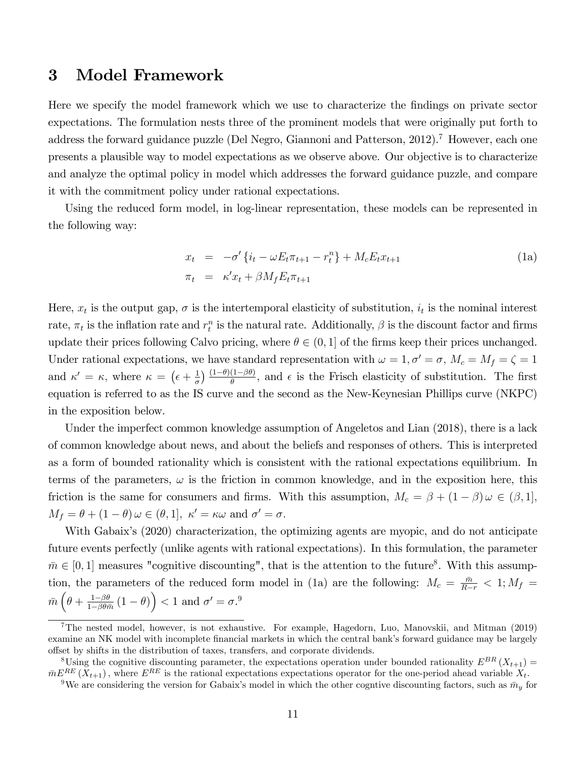### 3 Model Framework

Here we specify the model framework which we use to characterize the Öndings on private sector expectations. The formulation nests three of the prominent models that were originally put forth to address the forward guidance puzzle (Del Negro, Giannoni and Patterson, 2012).<sup>7</sup> However, each one presents a plausible way to model expectations as we observe above. Our objective is to characterize and analyze the optimal policy in model which addresses the forward guidance puzzle, and compare it with the commitment policy under rational expectations.

Using the reduced form model, in log-linear representation, these models can be represented in the following way:

$$
x_t = -\sigma' \{i_t - \omega E_t \pi_{t+1} - r_t^n\} + M_c E_t x_{t+1}
$$
  
\n
$$
\pi_t = \kappa' x_t + \beta M_f E_t \pi_{t+1}
$$
\n(1a)

Here,  $x_t$  is the output gap,  $\sigma$  is the intertemporal elasticity of substitution,  $i_t$  is the nominal interest rate,  $\pi_t$  is the inflation rate and  $r_t^n$  is the natural rate. Additionally,  $\beta$  is the discount factor and firms update their prices following Calvo pricing, where  $\theta \in (0, 1]$  of the firms keep their prices unchanged. Under rational expectations, we have standard representation with  $\omega = 1, \sigma' = \sigma$ ,  $M_c = M_f = \zeta = 1$ and  $\kappa' = \kappa$ , where  $\kappa = (\epsilon + \frac{1}{\sigma})$  $\frac{1}{\sigma}$ )  $\frac{(1-\theta)(1-\beta\theta)}{\theta}$ , and  $\epsilon$  is the Frisch elasticity of substitution. The first equation is referred to as the IS curve and the second as the New-Keynesian Phillips curve (NKPC) in the exposition below.

Under the imperfect common knowledge assumption of Angeletos and Lian (2018), there is a lack of common knowledge about news, and about the beliefs and responses of others. This is interpreted as a form of bounded rationality which is consistent with the rational expectations equilibrium. In terms of the parameters,  $\omega$  is the friction in common knowledge, and in the exposition here, this friction is the same for consumers and firms. With this assumption,  $M_c = \beta + (1 - \beta)\omega \in (\beta, 1],$  $M_f = \theta + (1 - \theta) \omega \in (\theta, 1], \; \kappa' = \kappa \omega \text{ and } \sigma' = \sigma.$ 

With Gabaix's (2020) characterization, the optimizing agents are myopic, and do not anticipate future events perfectly (unlike agents with rational expectations). In this formulation, the parameter  $\bar{m} \in [0, 1]$  measures "cognitive discounting", that is the attention to the future<sup>8</sup>. With this assumption, the parameters of the reduced form model in (1a) are the following:  $M_c = \frac{\bar{m}}{R-r} < 1$ ;  $M_f =$  $\bar{m} \left( \theta + \frac{1 - \beta \theta}{1 - \beta \theta \bar{m}} \right)$  $\frac{1-\beta\theta}{1-\beta\theta\bar{m}}(1-\theta)\Big) < 1$  and  $\sigma' = \sigma^0$ .

<sup>7</sup>The nested model, however, is not exhaustive. For example, Hagedorn, Luo, Manovskii, and Mitman (2019) examine an NK model with incomplete financial markets in which the central bank's forward guidance may be largely o§set by shifts in the distribution of taxes, transfers, and corporate dividends.

<sup>&</sup>lt;sup>8</sup>Using the cognitive discounting parameter, the expectations operation under bounded rationality  $E^{BR}(X_{t+1}) =$  $\bar{m}E^{RE}\left(X_{t+1}\right)$ , where  $E^{RE}$  is the rational expectations expectations operator for the one-period ahead variable  $X_t$ .

<sup>&</sup>lt;sup>9</sup>We are considering the version for Gabaix's model in which the other cogntive discounting factors, such as  $\bar{m}_y$  for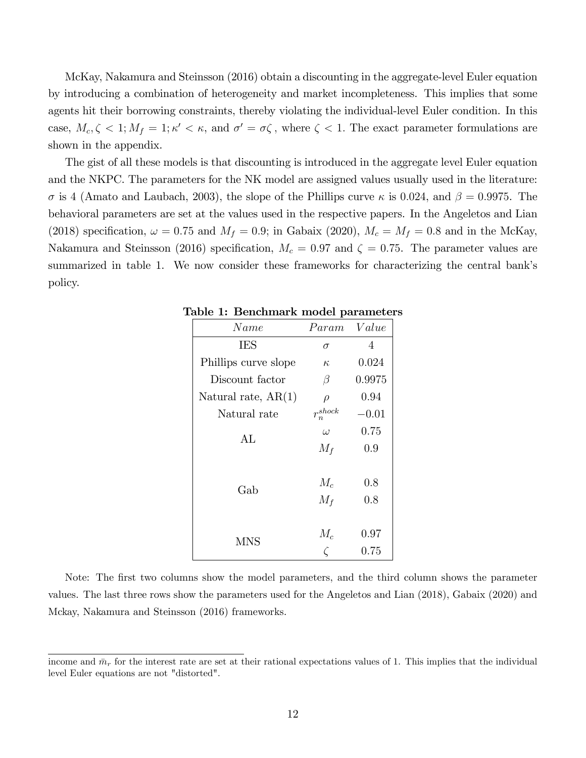McKay, Nakamura and Steinsson (2016) obtain a discounting in the aggregate-level Euler equation by introducing a combination of heterogeneity and market incompleteness. This implies that some agents hit their borrowing constraints, thereby violating the individual-level Euler condition. In this case,  $M_c, \zeta < 1$ ;  $M_f = 1$ ;  $\kappa' < \kappa$ , and  $\sigma' = \sigma \zeta$ , where  $\zeta < 1$ . The exact parameter formulations are shown in the appendix.

The gist of all these models is that discounting is introduced in the aggregate level Euler equation and the NKPC. The parameters for the NK model are assigned values usually used in the literature:  $\sigma$  is 4 (Amato and Laubach, 2003), the slope of the Phillips curve  $\kappa$  is 0.024, and  $\beta = 0.9975$ . The behavioral parameters are set at the values used in the respective papers. In the Angeletos and Lian (2018) specification,  $\omega = 0.75$  and  $M_f = 0.9$ ; in Gabaix (2020),  $M_c = M_f = 0.8$  and in the McKay, Nakamura and Steinsson (2016) specification,  $M_c = 0.97$  and  $\zeta = 0.75$ . The parameter values are summarized in table 1. We now consider these frameworks for characterizing the central bank's policy.

| Name                  | Param                  | Value            |
|-----------------------|------------------------|------------------|
| <b>IES</b>            | σ                      | 4                |
| Phillips curve slope  | $K_{i}$                | 0.024            |
| Discount factor       | β                      | 0.9975           |
| Natural rate, $AR(1)$ | $\rho$                 | 0.94             |
| Natural rate          | $r_n^{\mathit{shock}}$ | $-0.01$          |
| AL                    | $\omega$               | 0.75             |
|                       | $M_f$                  | 0.9              |
| Gab                   | $M_c$<br>$M_f$         | 0.8<br>0.8       |
| MNS                   | $M_c$                  | 0.97<br>$0.75\,$ |

Table 1: Benchmark model parameters

Note: The first two columns show the model parameters, and the third column shows the parameter values. The last three rows show the parameters used for the Angeletos and Lian (2018), Gabaix (2020) and Mckay, Nakamura and Steinsson (2016) frameworks.

income and  $\bar{m}_r$  for the interest rate are set at their rational expectations values of 1. This implies that the individual level Euler equations are not "distorted".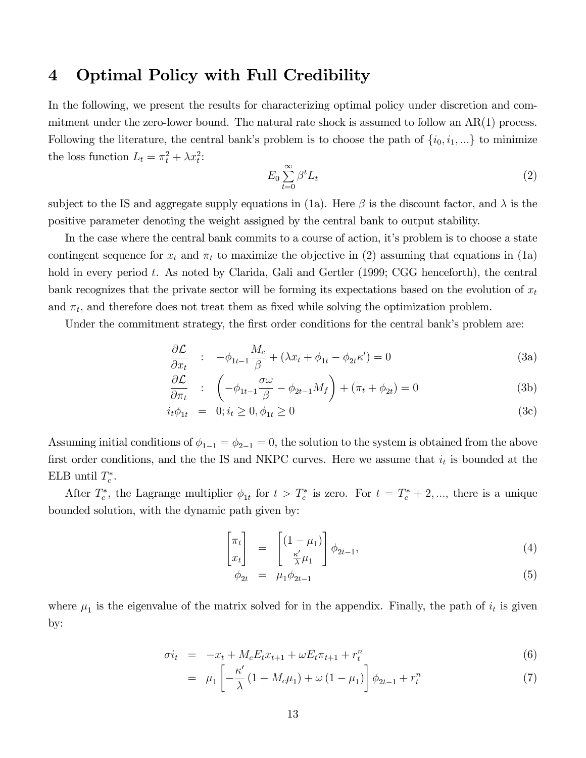### 4 Optimal Policy with Full Credibility

In the following, we present the results for characterizing optimal policy under discretion and commitment under the zero-lower bound. The natural rate shock is assumed to follow an  $AR(1)$  process. Following the literature, the central bank's problem is to choose the path of  $\{i_0, i_1, ...\}$  to minimize the loss function  $L_t = \pi_t^2 + \lambda x_t^2$ :

$$
E_0 \sum_{t=0}^{\infty} \beta^t L_t \tag{2}
$$

subject to the IS and aggregate supply equations in (1a). Here  $\beta$  is the discount factor, and  $\lambda$  is the positive parameter denoting the weight assigned by the central bank to output stability.

In the case where the central bank commits to a course of action, it's problem is to choose a state contingent sequence for  $x_t$  and  $\pi_t$  to maximize the objective in (2) assuming that equations in (1a) hold in every period  $t$ . As noted by Clarida, Gali and Gertler (1999; CGG henceforth), the central bank recognizes that the private sector will be forming its expectations based on the evolution of  $x_t$ and  $\pi_t$ , and therefore does not treat them as fixed while solving the optimization problem.

Under the commitment strategy, the first order conditions for the central bank's problem are:

$$
\frac{\partial \mathcal{L}}{\partial x_t} : -\phi_{1t-1} \frac{M_c}{\beta} + (\lambda x_t + \phi_{1t} - \phi_{2t} \kappa') = 0 \tag{3a}
$$

$$
\frac{\partial \mathcal{L}}{\partial \pi_t} : \left( -\phi_{1t-1} \frac{\sigma \omega}{\beta} - \phi_{2t-1} M_f \right) + \left( \pi_t + \phi_{2t} \right) = 0 \tag{3b}
$$

$$
i_t \phi_{1t} = 0; i_t \ge 0, \phi_{1t} \ge 0
$$
\n(3c)

Assuming initial conditions of  $\phi_{1-1} = \phi_{2-1} = 0$ , the solution to the system is obtained from the above first order conditions, and the the IS and NKPC curves. Here we assume that  $i_t$  is bounded at the ELB until  $T_c^*$ .

After  $T_c^*$ , the Lagrange multiplier  $\phi_{1t}$  for  $t > T_c^*$  is zero. For  $t = T_c^* + 2, \dots$ , there is a unique bounded solution, with the dynamic path given by:

$$
\begin{bmatrix} \pi_t \\ x_t \end{bmatrix} = \begin{bmatrix} (1 - \mu_1) \\ \frac{\kappa'}{\lambda} \mu_1 \end{bmatrix} \phi_{2t-1}, \tag{4}
$$

$$
\phi_{2t} = \mu_1 \phi_{2t-1} \tag{5}
$$

where  $\mu_1$  is the eigenvalue of the matrix solved for in the appendix. Finally, the path of  $i_t$  is given by:

$$
\sigma i_t = -x_t + M_c E_t x_{t+1} + \omega E_t \pi_{t+1} + r_t^n \tag{6}
$$

$$
= \mu_1 \left[ -\frac{\kappa'}{\lambda} \left( 1 - M_c \mu_1 \right) + \omega \left( 1 - \mu_1 \right) \right] \phi_{2t-1} + r_t^n \tag{7}
$$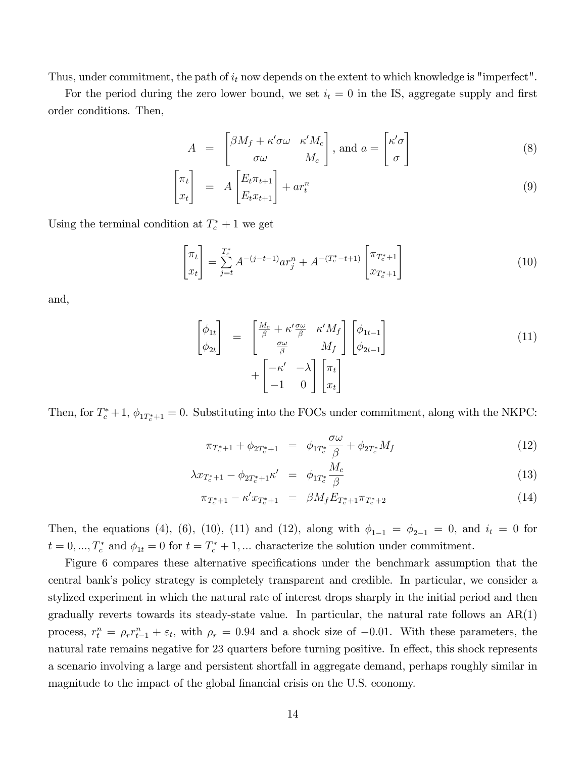Thus, under commitment, the path of  $i_t$  now depends on the extent to which knowledge is "imperfect".

For the period during the zero lower bound, we set  $i_t = 0$  in the IS, aggregate supply and first order conditions. Then,

$$
A = \begin{bmatrix} \beta M_f + \kappa' \sigma \omega & \kappa' M_c \\ \sigma \omega & M_c \end{bmatrix}, \text{ and } a = \begin{bmatrix} \kappa' \sigma \\ \sigma \end{bmatrix}
$$
 (8)

$$
\begin{bmatrix} \pi_t \\ x_t \end{bmatrix} = A \begin{bmatrix} E_t \pi_{t+1} \\ E_t x_{t+1} \end{bmatrix} + ar_t^n \tag{9}
$$

Using the terminal condition at  $T_c^* + 1$  we get

$$
\begin{bmatrix} \pi_t \\ x_t \end{bmatrix} = \sum_{j=t}^{T_c^*} A^{-(j-t-1)} a r_j^n + A^{-(T_c^* - t + 1)} \begin{bmatrix} \pi_{T_c^* + 1} \\ x_{T_c^* + 1} \end{bmatrix}
$$
 (10)

and,

$$
\begin{bmatrix}\n\phi_{1t} \\
\phi_{2t}\n\end{bmatrix} = \begin{bmatrix}\n\frac{M_c}{\beta} + \kappa' \frac{\sigma \omega}{\beta} & \kappa' M_f \\
\frac{\sigma \omega}{\beta} & M_f\n\end{bmatrix} \begin{bmatrix}\n\phi_{1t-1} \\
\phi_{2t-1}\n\end{bmatrix} + \begin{bmatrix}\n-\kappa' & -\lambda \\
-1 & 0\n\end{bmatrix} \begin{bmatrix}\n\pi_t \\
x_t\n\end{bmatrix}
$$
\n(11)

Then, for  $T_c^*+1$ ,  $\phi_{1T_c^*+1}=0$ . Substituting into the FOCs under commitment, along with the NKPC:

$$
\pi_{T_c^*+1} + \phi_{2T_c^*+1} = \phi_{1T_c^*} \frac{\sigma \omega}{\beta} + \phi_{2T_c^*} M_f \tag{12}
$$

$$
\lambda x_{T_c^*+1} - \phi_{2T_c^*+1} \kappa' = \phi_{1T_c^*} \frac{M_c}{\beta} \tag{13}
$$

$$
\pi_{T_c^*+1} - \kappa' x_{T_c^*+1} = \beta M_f E_{T_c^*+1} \pi_{T_c^*+2}
$$
\n(14)

Then, the equations (4), (6), (10), (11) and (12), along with  $\phi_{1-1} = \phi_{2-1} = 0$ , and  $i_t = 0$  for  $t = 0, ..., T_c^*$  and  $\phi_{1t} = 0$  for  $t = T_c^* + 1, ...$  characterize the solution under commitment.

Figure 6 compares these alternative specifications under the benchmark assumption that the central bankís policy strategy is completely transparent and credible. In particular, we consider a stylized experiment in which the natural rate of interest drops sharply in the initial period and then gradually reverts towards its steady-state value. In particular, the natural rate follows an AR(1) process,  $r_t^n = \rho_r r_{t-1}^n + \varepsilon_t$ , with  $\rho_r = 0.94$  and a shock size of  $-0.01$ . With these parameters, the natural rate remains negative for 23 quarters before turning positive. In effect, this shock represents a scenario involving a large and persistent shortfall in aggregate demand, perhaps roughly similar in magnitude to the impact of the global financial crisis on the U.S. economy.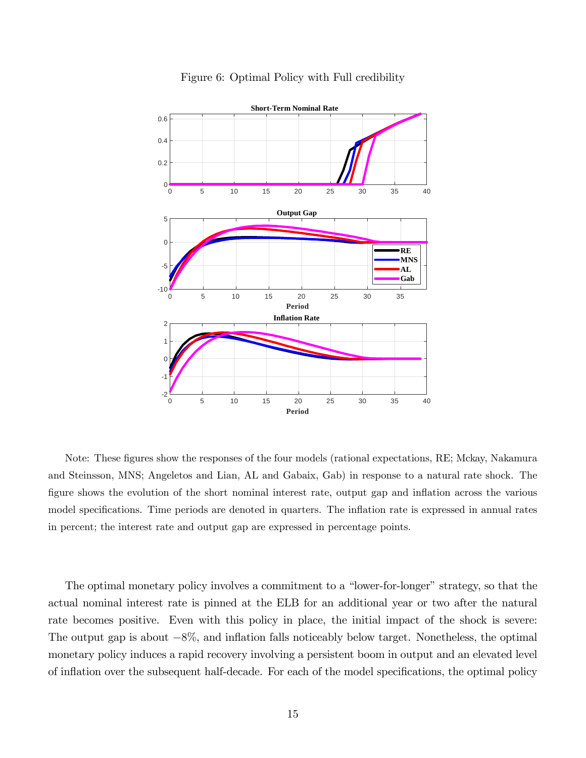

#### Figure 6: Optimal Policy with Full credibility

Note: These figures show the responses of the four models (rational expectations, RE; Mckay, Nakamura and Steinsson, MNS; Angeletos and Lian, AL and Gabaix, Gab) in response to a natural rate shock. The figure shows the evolution of the short nominal interest rate, output gap and inflation across the various model specifications. Time periods are denoted in quarters. The inflation rate is expressed in annual rates in percent; the interest rate and output gap are expressed in percentage points.

The optimal monetary policy involves a commitment to a "lower-for-longer" strategy, so that the actual nominal interest rate is pinned at the ELB for an additional year or two after the natural rate becomes positive. Even with this policy in place, the initial impact of the shock is severe: The output gap is about  $-8\%$ , and inflation falls noticeably below target. Nonetheless, the optimal monetary policy induces a rapid recovery involving a persistent boom in output and an elevated level of inflation over the subsequent half-decade. For each of the model specifications, the optimal policy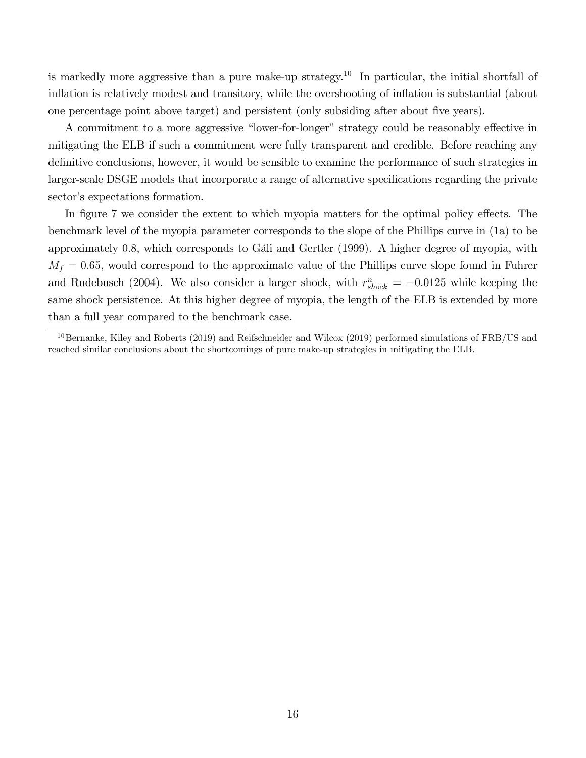is markedly more aggressive than a pure make-up strategy.<sup>10</sup> In particular, the initial shortfall of inflation is relatively modest and transitory, while the overshooting of inflation is substantial (about one percentage point above target) and persistent (only subsiding after about five years).

A commitment to a more aggressive "lower-for-longer" strategy could be reasonably effective in mitigating the ELB if such a commitment were fully transparent and credible. Before reaching any definitive conclusions, however, it would be sensible to examine the performance of such strategies in larger-scale DSGE models that incorporate a range of alternative specifications regarding the private sector's expectations formation.

In figure 7 we consider the extent to which myopia matters for the optimal policy effects. The benchmark level of the myopia parameter corresponds to the slope of the Phillips curve in (1a) to be approximately 0.8, which corresponds to Gáli and Gertler  $(1999)$ . A higher degree of myopia, with  $M_f = 0.65$ , would correspond to the approximate value of the Phillips curve slope found in Fuhrer and Rudebusch (2004). We also consider a larger shock, with  $r_{shock}^n = -0.0125$  while keeping the same shock persistence. At this higher degree of myopia, the length of the ELB is extended by more than a full year compared to the benchmark case.

 $10$ Bernanke, Kiley and Roberts (2019) and Reifschneider and Wilcox (2019) performed simulations of FRB/US and reached similar conclusions about the shortcomings of pure make-up strategies in mitigating the ELB.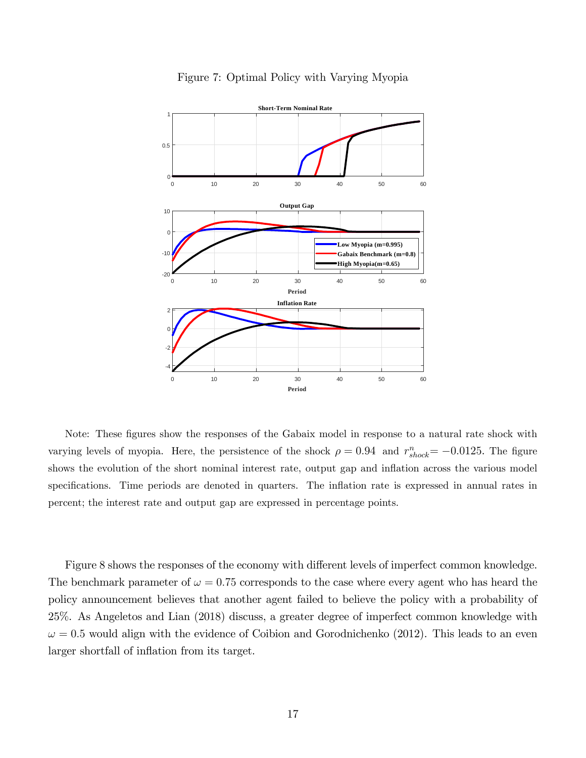

#### Figure 7: Optimal Policy with Varying Myopia

Note: These figures show the responses of the Gabaix model in response to a natural rate shock with varying levels of myopia. Here, the persistence of the shock  $\rho = 0.94$  and  $r_{shock}^n = -0.0125$ . The figure shows the evolution of the short nominal interest rate, output gap and inflation across the various model specifications. Time periods are denoted in quarters. The inflation rate is expressed in annual rates in percent; the interest rate and output gap are expressed in percentage points.

Figure 8 shows the responses of the economy with different levels of imperfect common knowledge. The benchmark parameter of  $\omega = 0.75$  corresponds to the case where every agent who has heard the policy announcement believes that another agent failed to believe the policy with a probability of 25%. As Angeletos and Lian (2018) discuss, a greater degree of imperfect common knowledge with  $\omega = 0.5$  would align with the evidence of Coibion and Gorodnichenko (2012). This leads to an even larger shortfall of inflation from its target.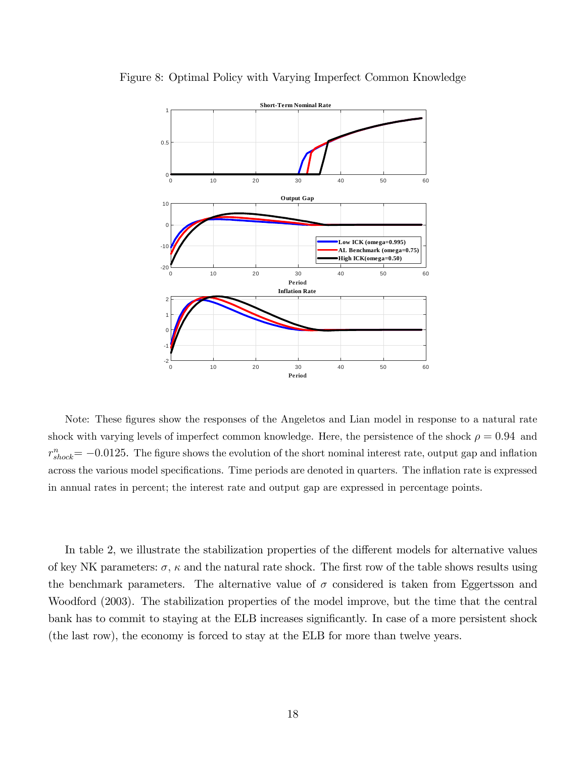

Figure 8: Optimal Policy with Varying Imperfect Common Knowledge

Note: These figures show the responses of the Angeletos and Lian model in response to a natural rate shock with varying levels of imperfect common knowledge. Here, the persistence of the shock  $\rho = 0.94$  and  $r_{shock}^{n}$  = -0.0125. The figure shows the evolution of the short nominal interest rate, output gap and inflation across the various model specifications. Time periods are denoted in quarters. The inflation rate is expressed in annual rates in percent; the interest rate and output gap are expressed in percentage points.

In table 2, we illustrate the stabilization properties of the different models for alternative values of key NK parameters:  $\sigma$ ,  $\kappa$  and the natural rate shock. The first row of the table shows results using the benchmark parameters. The alternative value of  $\sigma$  considered is taken from Eggertsson and Woodford (2003). The stabilization properties of the model improve, but the time that the central bank has to commit to staying at the ELB increases significantly. In case of a more persistent shock (the last row), the economy is forced to stay at the ELB for more than twelve years.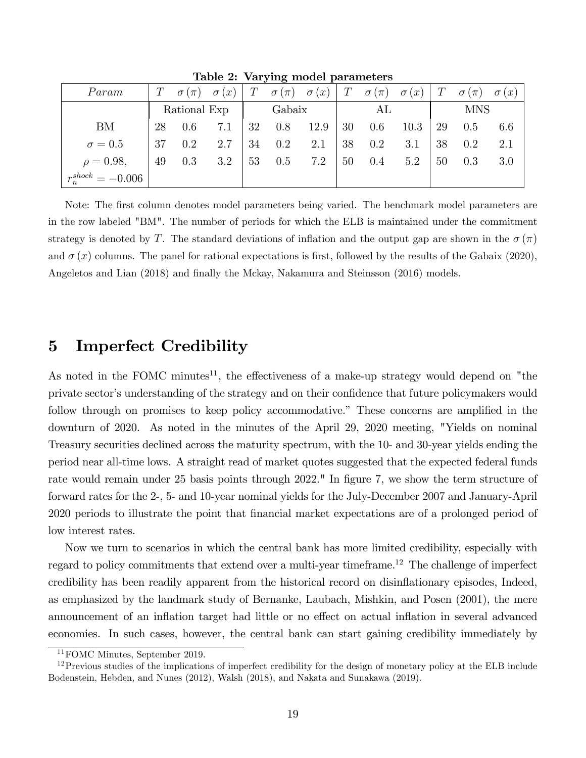| Param                |              |     | $T \quad \sigma(\pi) \quad \sigma(x)$ |        |     | $T \quad \sigma(\pi) \quad \sigma(x)$ |    |         |      |            | $T \quad \sigma(\pi) \quad \sigma(x) \mid T \quad \sigma(\pi) \quad \sigma(x) \mid$ |     |
|----------------------|--------------|-----|---------------------------------------|--------|-----|---------------------------------------|----|---------|------|------------|-------------------------------------------------------------------------------------|-----|
|                      | Rational Exp |     |                                       | Gabaix |     |                                       | AL |         |      | <b>MNS</b> |                                                                                     |     |
| <b>BM</b>            | 28           | 0.6 | 7.1                                   | 32     | 0.8 | 12.9                                  | 30 | $0.6\,$ | 10.3 | 29         | 0.5                                                                                 | 6.6 |
| $\sigma=0.5$         | 37           | 0.2 | 2.7                                   | 34     | 0.2 | 2.1                                   | 38 | $0.2\,$ | 3.1  | 38         | 0.2                                                                                 | 2.1 |
| $\rho = 0.98,$       | 49           | 0.3 | 3.2                                   | 53     | 0.5 | 7.2                                   | 50 | 0.4     | 5.2  | 50         | 0.3                                                                                 | 3.0 |
| $r^{shock}_-=-0.006$ |              |     |                                       |        |     |                                       |    |         |      |            |                                                                                     |     |

Table 2: Varying model parameters

Note: The first column denotes model parameters being varied. The benchmark model parameters are in the row labeled "BM". The number of periods for which the ELB is maintained under the commitment strategy is denoted by T. The standard deviations of inflation and the output gap are shown in the  $\sigma(\pi)$ and  $\sigma(x)$  columns. The panel for rational expectations is first, followed by the results of the Gabaix (2020), Angeletos and Lian (2018) and finally the Mckay, Nakamura and Steinsson (2016) models.

## 5 Imperfect Credibility

As noted in the FOMC minutes<sup>11</sup>, the effectiveness of a make-up strategy would depend on "the private sector's understanding of the strategy and on their confidence that future policymakers would follow through on promises to keep policy accommodative." These concerns are amplified in the downturn of 2020. As noted in the minutes of the April 29, 2020 meeting, "Yields on nominal Treasury securities declined across the maturity spectrum, with the 10- and 30-year yields ending the period near all-time lows. A straight read of market quotes suggested that the expected federal funds rate would remain under 25 basis points through 2022." In figure 7, we show the term structure of forward rates for the 2-, 5- and 10-year nominal yields for the July-December 2007 and January-April 2020 periods to illustrate the point that Önancial market expectations are of a prolonged period of low interest rates.

Now we turn to scenarios in which the central bank has more limited credibility, especially with regard to policy commitments that extend over a multi-year timeframe.<sup>12</sup> The challenge of imperfect credibility has been readily apparent from the historical record on disináationary episodes, Indeed, as emphasized by the landmark study of Bernanke, Laubach, Mishkin, and Posen (2001), the mere announcement of an inflation target had little or no effect on actual inflation in several advanced economies. In such cases, however, the central bank can start gaining credibility immediately by

<sup>11</sup>FOMC Minutes, September 2019.

 $12$ Previous studies of the implications of imperfect credibility for the design of monetary policy at the ELB include Bodenstein, Hebden, and Nunes (2012), Walsh (2018), and Nakata and Sunakawa (2019).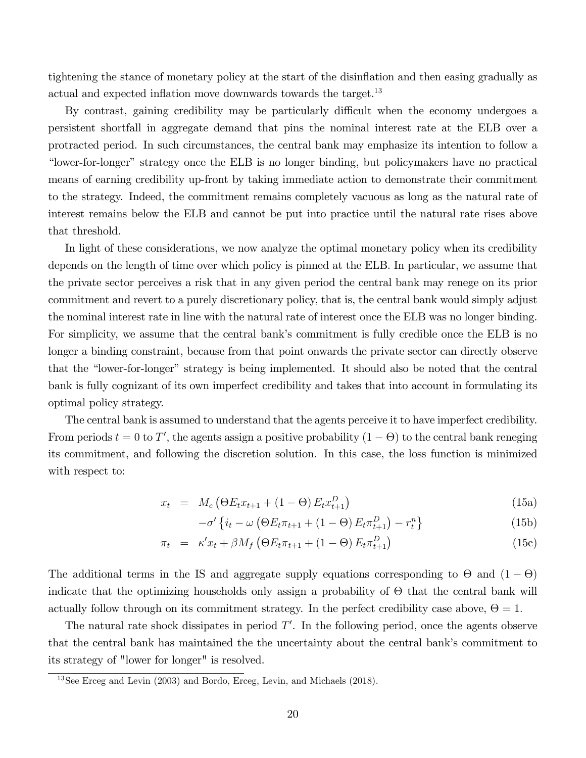tightening the stance of monetary policy at the start of the disináation and then easing gradually as actual and expected inflation move downwards towards the target.<sup>13</sup>

By contrast, gaining credibility may be particularly difficult when the economy undergoes a persistent shortfall in aggregate demand that pins the nominal interest rate at the ELB over a protracted period. In such circumstances, the central bank may emphasize its intention to follow a "lower-for-longer" strategy once the ELB is no longer binding, but policymakers have no practical means of earning credibility up-front by taking immediate action to demonstrate their commitment to the strategy. Indeed, the commitment remains completely vacuous as long as the natural rate of interest remains below the ELB and cannot be put into practice until the natural rate rises above that threshold.

In light of these considerations, we now analyze the optimal monetary policy when its credibility depends on the length of time over which policy is pinned at the ELB. In particular, we assume that the private sector perceives a risk that in any given period the central bank may renege on its prior commitment and revert to a purely discretionary policy, that is, the central bank would simply adjust the nominal interest rate in line with the natural rate of interest once the ELB was no longer binding. For simplicity, we assume that the central bank's commitment is fully credible once the ELB is no longer a binding constraint, because from that point onwards the private sector can directly observe that the "lower-for-longer" strategy is being implemented. It should also be noted that the central bank is fully cognizant of its own imperfect credibility and takes that into account in formulating its optimal policy strategy.

The central bank is assumed to understand that the agents perceive it to have imperfect credibility. From periods  $t = 0$  to T', the agents assign a positive probability  $(1 - \Theta)$  to the central bank reneging its commitment, and following the discretion solution. In this case, the loss function is minimized with respect to:

$$
x_t = M_c (\Theta E_t x_{t+1} + (1 - \Theta) E_t x_{t+1}^D)
$$
\n(15a)

$$
-\sigma'\left\{i_t - \omega\left(\Theta E_t \pi_{t+1} + (1-\Theta) E_t \pi_{t+1}^D\right) - r_t^n\right\}\tag{15b}
$$

$$
\pi_t = \kappa' x_t + \beta M_f \left( \Theta E_t \pi_{t+1} + (1 - \Theta) E_t \pi_{t+1}^D \right) \tag{15c}
$$

The additional terms in the IS and aggregate supply equations corresponding to  $\Theta$  and  $(1 - \Theta)$ indicate that the optimizing households only assign a probability of  $\Theta$  that the central bank will actually follow through on its commitment strategy. In the perfect credibility case above,  $\Theta = 1$ .

The natural rate shock dissipates in period  $T'$ . In the following period, once the agents observe that the central bank has maintained the the uncertainty about the central bank's commitment to its strategy of "lower for longer" is resolved.

 $13$ See Erceg and Levin (2003) and Bordo, Erceg, Levin, and Michaels (2018).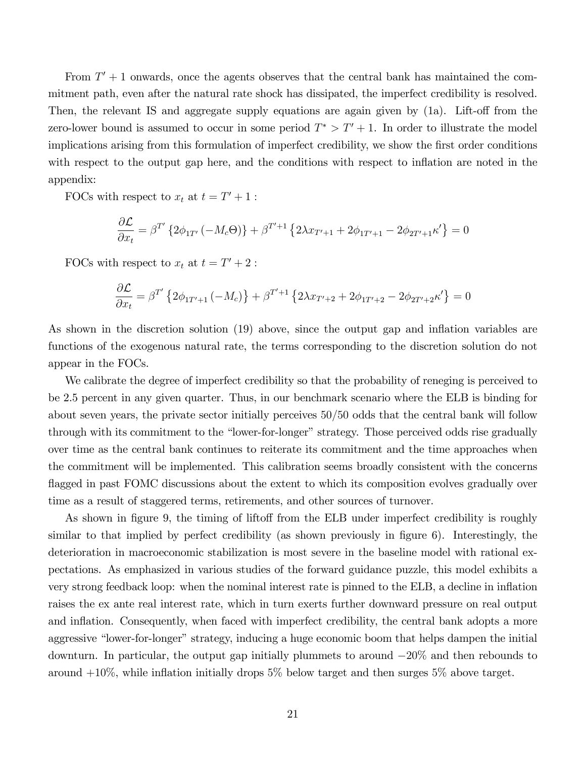From  $T' + 1$  onwards, once the agents observes that the central bank has maintained the commitment path, even after the natural rate shock has dissipated, the imperfect credibility is resolved. Then, the relevant IS and aggregate supply equations are again given by  $(1a)$ . Lift-off from the zero-lower bound is assumed to occur in some period  $T^* > T' + 1$ . In order to illustrate the model implications arising from this formulation of imperfect credibility, we show the first order conditions with respect to the output gap here, and the conditions with respect to inflation are noted in the appendix:

FOCs with respect to  $x_t$  at  $t = T' + 1$ :

$$
\frac{\partial \mathcal{L}}{\partial x_t} = \beta^{T'} \left\{ 2\phi_{1T'}(-M_c \Theta) \right\} + \beta^{T'+1} \left\{ 2\lambda x_{T'+1} + 2\phi_{1T'+1} - 2\phi_{2T'+1} \kappa' \right\} = 0
$$

FOCs with respect to  $x_t$  at  $t = T' + 2$ :

$$
\frac{\partial \mathcal{L}}{\partial x_t} = \beta^{T'} \left\{ 2\phi_{1T'+1} \left( -M_c \right) \right\} + \beta^{T'+1} \left\{ 2\lambda x_{T'+2} + 2\phi_{1T'+2} - 2\phi_{2T'+2} \kappa' \right\} = 0
$$

As shown in the discretion solution (19) above, since the output gap and inflation variables are functions of the exogenous natural rate, the terms corresponding to the discretion solution do not appear in the FOCs.

We calibrate the degree of imperfect credibility so that the probability of reneging is perceived to be 2.5 percent in any given quarter. Thus, in our benchmark scenario where the ELB is binding for about seven years, the private sector initially perceives  $50/50$  odds that the central bank will follow through with its commitment to the "lower-for-longer" strategy. Those perceived odds rise gradually over time as the central bank continues to reiterate its commitment and the time approaches when the commitment will be implemented. This calibration seems broadly consistent with the concerns flagged in past FOMC discussions about the extent to which its composition evolves gradually over time as a result of staggered terms, retirements, and other sources of turnover.

As shown in figure 9, the timing of liftoff from the ELB under imperfect credibility is roughly similar to that implied by perfect credibility (as shown previously in figure 6). Interestingly, the deterioration in macroeconomic stabilization is most severe in the baseline model with rational expectations. As emphasized in various studies of the forward guidance puzzle, this model exhibits a very strong feedback loop: when the nominal interest rate is pinned to the ELB, a decline in ináation raises the ex ante real interest rate, which in turn exerts further downward pressure on real output and inflation. Consequently, when faced with imperfect credibility, the central bank adopts a more aggressive "lower-for-longer" strategy, inducing a huge economic boom that helps dampen the initial downturn. In particular, the output gap initially plummets to around  $-20\%$  and then rebounds to around  $+10\%$ , while inflation initially drops 5% below target and then surges 5% above target.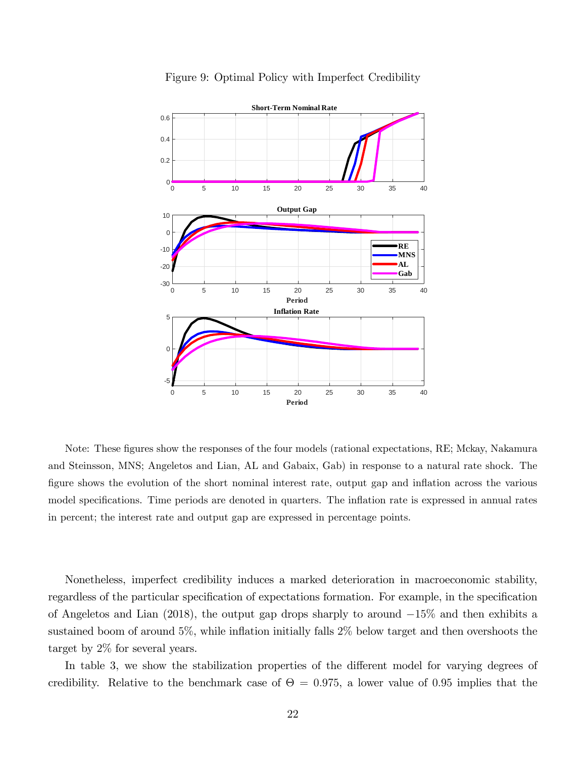

Figure 9: Optimal Policy with Imperfect Credibility

Note: These figures show the responses of the four models (rational expectations, RE; Mckay, Nakamura and Steinsson, MNS; Angeletos and Lian, AL and Gabaix, Gab) in response to a natural rate shock. The figure shows the evolution of the short nominal interest rate, output gap and inflation across the various model specifications. Time periods are denoted in quarters. The inflation rate is expressed in annual rates in percent; the interest rate and output gap are expressed in percentage points.

Nonetheless, imperfect credibility induces a marked deterioration in macroeconomic stability, regardless of the particular specification of expectations formation. For example, in the specification of Angeletos and Lian  $(2018)$ , the output gap drops sharply to around  $-15\%$  and then exhibits a sustained boom of around  $5\%$ , while inflation initially falls  $2\%$  below target and then overshoots the target by 2% for several years.

In table 3, we show the stabilization properties of the different model for varying degrees of credibility. Relative to the benchmark case of  $\Theta = 0.975$ , a lower value of 0.95 implies that the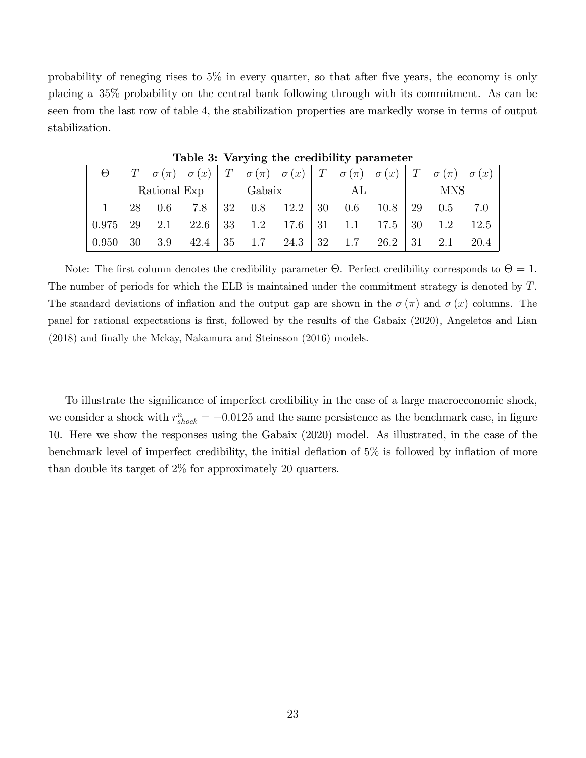probability of reneging rises to  $5\%$  in every quarter, so that after five years, the economy is only placing a 35% probability on the central bank following through with its commitment. As can be seen from the last row of table 4, the stabilization properties are markedly worse in terms of output stabilization.

| $\Theta$ |    |                         |                           |  |  |    |    | $T \sigma(\pi) \sigma(x)   T \sigma(\pi) \sigma(x)   T \sigma(\pi) \sigma(x)   T \sigma(x)   T \sigma(\pi) \sigma(x)$ |      |
|----------|----|-------------------------|---------------------------|--|--|----|----|-----------------------------------------------------------------------------------------------------------------------|------|
|          |    |                         | Rational Exp   Gabaix     |  |  | AL |    | <b>MNS</b>                                                                                                            |      |
|          |    | $1 \t 28 \t 0.6 \t 7.8$ |                           |  |  |    |    |                                                                                                                       |      |
| $0.975$  | 29 |                         |                           |  |  |    |    | 2.1 22.6 33 1.2 17.6 31 1.1 17.5 30 1.2                                                                               | 12.5 |
| 0.950    |    |                         | $30 \quad 3.9 \quad 42.4$ |  |  |    | 31 | 2.1                                                                                                                   | 20.4 |

Table 3: Varying the credibility parameter

Note: The first column denotes the credibility parameter  $\Theta$ . Perfect credibility corresponds to  $\Theta = 1$ . The number of periods for which the ELB is maintained under the commitment strategy is denoted by T. The standard deviations of inflation and the output gap are shown in the  $\sigma(\pi)$  and  $\sigma(x)$  columns. The panel for rational expectations is first, followed by the results of the Gabaix (2020), Angeletos and Lian  $(2018)$  and finally the Mckay, Nakamura and Steinsson  $(2016)$  models.

To illustrate the significance of imperfect credibility in the case of a large macroeconomic shock, we consider a shock with  $r_{shock}^n = -0.0125$  and the same persistence as the benchmark case, in figure 10. Here we show the responses using the Gabaix (2020) model. As illustrated, in the case of the benchmark level of imperfect credibility, the initial deflation of  $5\%$  is followed by inflation of more than double its target of 2% for approximately 20 quarters.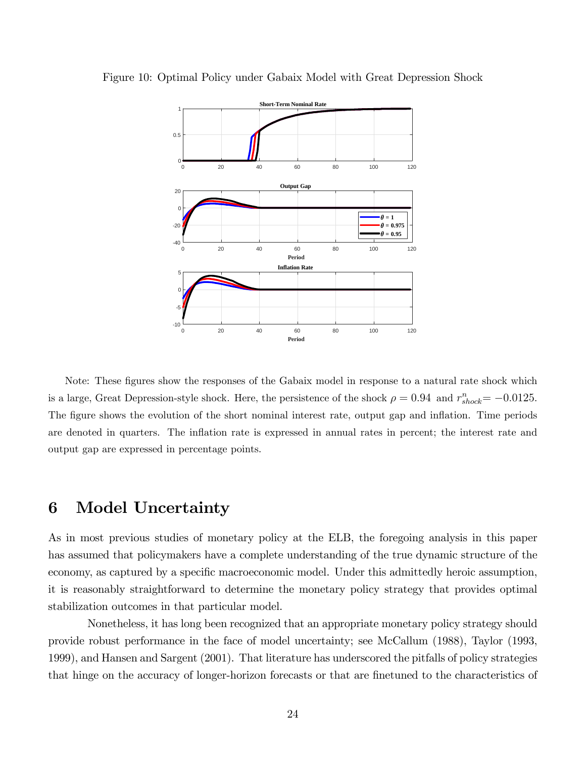

Figure 10: Optimal Policy under Gabaix Model with Great Depression Shock

Note: These figures show the responses of the Gabaix model in response to a natural rate shock which is a large, Great Depression-style shock. Here, the persistence of the shock  $\rho = 0.94$  and  $r_{shock}^n = -0.0125$ . The figure shows the evolution of the short nominal interest rate, output gap and inflation. Time periods are denoted in quarters. The inflation rate is expressed in annual rates in percent; the interest rate and output gap are expressed in percentage points.

## 6 Model Uncertainty

As in most previous studies of monetary policy at the ELB, the foregoing analysis in this paper has assumed that policymakers have a complete understanding of the true dynamic structure of the economy, as captured by a specific macroeconomic model. Under this admittedly heroic assumption, it is reasonably straightforward to determine the monetary policy strategy that provides optimal stabilization outcomes in that particular model.

Nonetheless, it has long been recognized that an appropriate monetary policy strategy should provide robust performance in the face of model uncertainty; see McCallum (1988), Taylor (1993, 1999), and Hansen and Sargent (2001). That literature has underscored the pitfalls of policy strategies that hinge on the accuracy of longer-horizon forecasts or that are finetuned to the characteristics of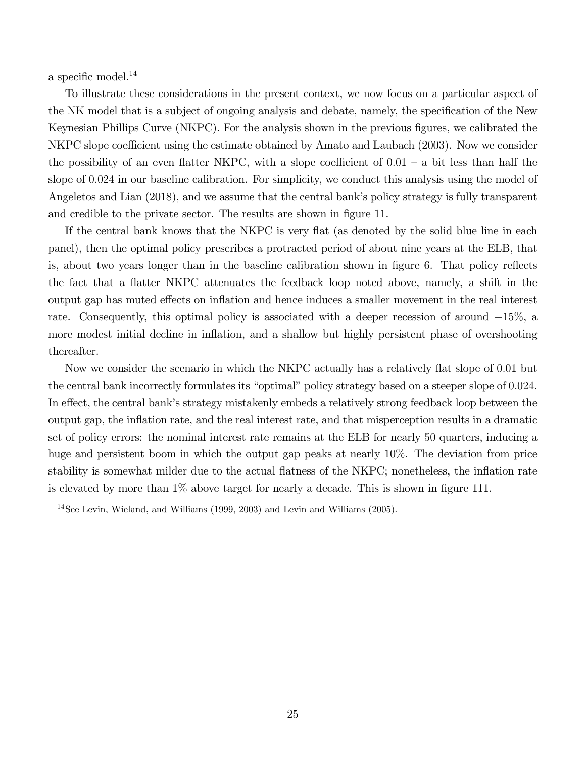a specific model. $^{14}$ 

To illustrate these considerations in the present context, we now focus on a particular aspect of the NK model that is a subject of ongoing analysis and debate, namely, the specification of the New Keynesian Phillips Curve (NKPC). For the analysis shown in the previous figures, we calibrated the NKPC slope coefficient using the estimate obtained by Amato and Laubach (2003). Now we consider the possibility of an even flatter NKPC, with a slope coefficient of  $0.01 - a$  bit less than half the slope of 0.024 in our baseline calibration. For simplicity, we conduct this analysis using the model of Angeletos and Lian (2018), and we assume that the central bank's policy strategy is fully transparent and credible to the private sector. The results are shown in figure 11.

If the central bank knows that the NKPC is very flat (as denoted by the solid blue line in each panel), then the optimal policy prescribes a protracted period of about nine years at the ELB, that is, about two years longer than in the baseline calibration shown in figure 6. That policy reflects the fact that a flatter NKPC attenuates the feedback loop noted above, namely, a shift in the output gap has muted effects on inflation and hence induces a smaller movement in the real interest rate. Consequently, this optimal policy is associated with a deeper recession of around  $-15\%$ , a more modest initial decline in inflation, and a shallow but highly persistent phase of overshooting thereafter.

Now we consider the scenario in which the NKPC actually has a relatively flat slope of 0.01 but the central bank incorrectly formulates its "optimal" policy strategy based on a steeper slope of 0.024. In effect, the central bank's strategy mistakenly embeds a relatively strong feedback loop between the output gap, the ináation rate, and the real interest rate, and that misperception results in a dramatic set of policy errors: the nominal interest rate remains at the ELB for nearly 50 quarters, inducing a huge and persistent boom in which the output gap peaks at nearly 10%. The deviation from price stability is somewhat milder due to the actual flatness of the NKPC; nonetheless, the inflation rate is elevated by more than  $1\%$  above target for nearly a decade. This is shown in figure 111.

<sup>14</sup>See Levin, Wieland, and Williams (1999, 2003) and Levin and Williams (2005).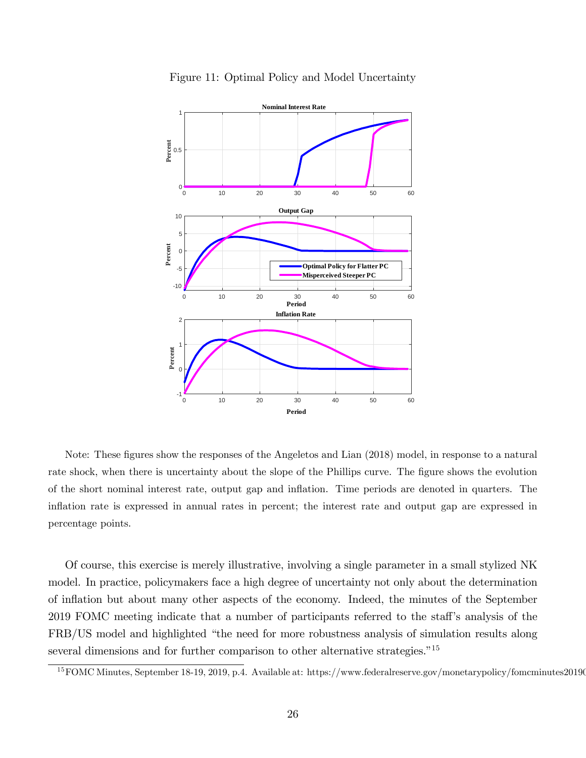

Figure 11: Optimal Policy and Model Uncertainty

Note: These figures show the responses of the Angeletos and Lian (2018) model, in response to a natural rate shock, when there is uncertainty about the slope of the Phillips curve. The figure shows the evolution of the short nominal interest rate, output gap and ináation. Time periods are denoted in quarters. The ináation rate is expressed in annual rates in percent; the interest rate and output gap are expressed in percentage points.

Of course, this exercise is merely illustrative, involving a single parameter in a small stylized NK model. In practice, policymakers face a high degree of uncertainty not only about the determination of ináation but about many other aspects of the economy. Indeed, the minutes of the September 2019 FOMC meeting indicate that a number of participants referred to the staff's analysis of the FRB/US model and highlighted "the need for more robustness analysis of simulation results along several dimensions and for further comparison to other alternative strategies.<sup> $15$ </sup>

 $15$  FOMC Minutes, September 18-19, 2019, p.4. Available at: https://www.federalreserve.gov/monetarypolicy/fomcminutes20190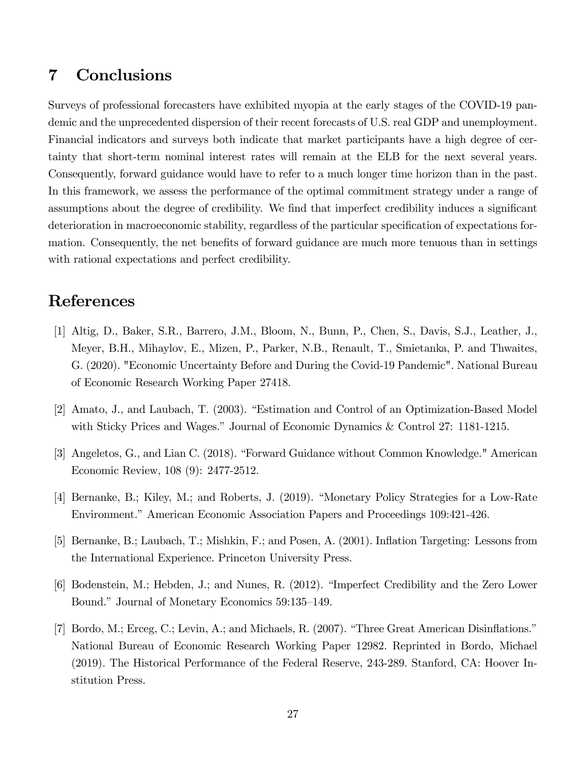## 7 Conclusions

Surveys of professional forecasters have exhibited myopia at the early stages of the COVID-19 pandemic and the unprecedented dispersion of their recent forecasts of U.S. real GDP and unemployment. Financial indicators and surveys both indicate that market participants have a high degree of certainty that short-term nominal interest rates will remain at the ELB for the next several years. Consequently, forward guidance would have to refer to a much longer time horizon than in the past. In this framework, we assess the performance of the optimal commitment strategy under a range of assumptions about the degree of credibility. We find that imperfect credibility induces a significant deterioration in macroeconomic stability, regardless of the particular specification of expectations formation. Consequently, the net benefits of forward guidance are much more tenuous than in settings with rational expectations and perfect credibility.

## References

- [1] Altig, D., Baker, S.R., Barrero, J.M., Bloom, N., Bunn, P., Chen, S., Davis, S.J., Leather, J., Meyer, B.H., Mihaylov, E., Mizen, P., Parker, N.B., Renault, T., Smietanka, P. and Thwaites, G. (2020). "Economic Uncertainty Before and During the Covid-19 Pandemic". National Bureau of Economic Research Working Paper 27418.
- [2] Amato, J., and Laubach, T. (2003). "Estimation and Control of an Optimization-Based Model with Sticky Prices and Wages." Journal of Economic Dynamics  $\&$  Control 27: 1181-1215.
- [3] Angeletos, G., and Lian C. (2018). "Forward Guidance without Common Knowledge." American Economic Review, 108 (9): 2477-2512.
- [4] Bernanke, B.; Kiley, M.; and Roberts, J. (2019). "Monetary Policy Strategies for a Low-Rate Environment." American Economic Association Papers and Proceedings 109:421-426.
- [5] Bernanke, B.; Laubach, T.; Mishkin, F.; and Posen, A. (2001). Ináation Targeting: Lessons from the International Experience. Princeton University Press.
- [6] Bodenstein, M.; Hebden, J.; and Nunes, R. (2012). "Imperfect Credibility and the Zero Lower Bound." Journal of Monetary Economics 59:135–149.
- [7] Bordo, M.; Erceg, C.; Levin, A.; and Michaels, R. (2007). "Three Great American Disinflations." National Bureau of Economic Research Working Paper 12982. Reprinted in Bordo, Michael (2019). The Historical Performance of the Federal Reserve, 243-289. Stanford, CA: Hoover Institution Press.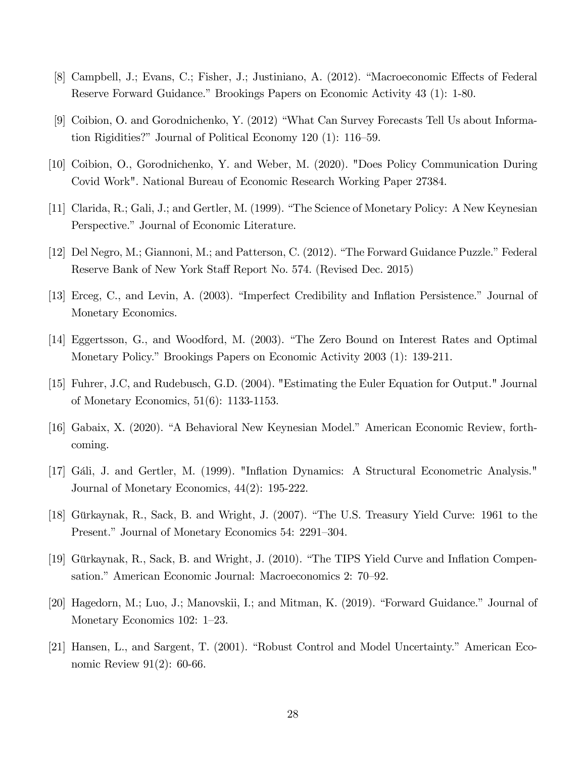- [8] Campbell, J.; Evans, C.; Fisher, J.; Justiniano, A. (2012). "Macroeconomic Effects of Federal Reserve Forward Guidance." Brookings Papers on Economic Activity 43 (1): 1-80.
- [9] Coibion, O. and Gorodnichenko, Y. (2012) "What Can Survey Forecasts Tell Us about Information Rigidities?" Journal of Political Economy 120 (1):  $116-59$ .
- [10] Coibion, O., Gorodnichenko, Y. and Weber, M. (2020). "Does Policy Communication During Covid Work". National Bureau of Economic Research Working Paper 27384.
- [11] Clarida, R.; Gali, J.; and Gertler, M. (1999). "The Science of Monetary Policy: A New Keynesian Perspective." Journal of Economic Literature.
- [12] Del Negro, M.; Giannoni, M.; and Patterson, C. (2012). "The Forward Guidance Puzzle." Federal Reserve Bank of New York Staff Report No. 574. (Revised Dec. 2015)
- [13] Erceg, C., and Levin, A. (2003). "Imperfect Credibility and Inflation Persistence." Journal of Monetary Economics.
- [14] Eggertsson, G., and Woodford, M. (2003). "The Zero Bound on Interest Rates and Optimal Monetary Policy." Brookings Papers on Economic Activity 2003 (1): 139-211.
- [15] Fuhrer, J.C, and Rudebusch, G.D. (2004). "Estimating the Euler Equation for Output." Journal of Monetary Economics, 51(6): 1133-1153.
- [16] Gabaix, X. (2020). "A Behavioral New Keynesian Model." American Economic Review, forthcoming.
- [17] Gáli, J. and Gertler, M. (1999). "Inflation Dynamics: A Structural Econometric Analysis." Journal of Monetary Economics, 44(2): 195-222.
- [18] Gürkaynak, R., Sack, B. and Wright, J. (2007). "The U.S. Treasury Yield Curve: 1961 to the Present." Journal of Monetary Economics 54: 2291–304.
- [19] Gürkaynak, R., Sack, B. and Wright, J. (2010). "The TIPS Yield Curve and Inflation Compensation." American Economic Journal: Macroeconomics 2: 70–92.
- [20] Hagedorn, M.; Luo, J.; Manovskii, I.; and Mitman, K. (2019). "Forward Guidance." Journal of Monetary Economics 102:  $1-23$ .
- [21] Hansen, L., and Sargent, T. (2001). "Robust Control and Model Uncertainty." American Economic Review 91(2): 60-66.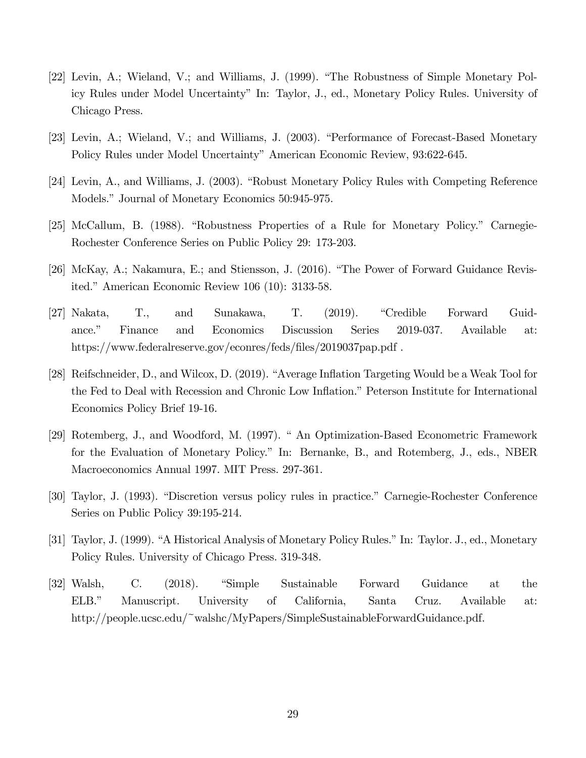- [22] Levin, A.; Wieland, V.; and Williams, J. (1999). "The Robustness of Simple Monetary Policy Rules under Model Uncertaintyî In: Taylor, J., ed., Monetary Policy Rules. University of Chicago Press.
- [23] Levin, A.; Wieland, V.; and Williams, J. (2003). "Performance of Forecast-Based Monetary Policy Rules under Model Uncertainty" American Economic Review, 93:622-645.
- [24] Levin, A., and Williams, J. (2003). "Robust Monetary Policy Rules with Competing Reference Models." Journal of Monetary Economics 50:945-975.
- [25] McCallum, B. (1988). "Robustness Properties of a Rule for Monetary Policy." Carnegie-Rochester Conference Series on Public Policy 29: 173-203.
- [26] McKay, A.; Nakamura, E.; and Stiensson, J. (2016). "The Power of Forward Guidance Revisited." American Economic Review  $106$  (10): 3133-58.
- [27] Nakata, T., and Sunakawa, T. (2019). "Credible Forward Guidance.î Finance and Economics Discussion Series 2019-037. Available at: https://www.federalreserve.gov/econres/feds/files/2019037pap.pdf.
- [28] Reifschneider, D., and Wilcox, D. (2019). "Average Inflation Targeting Would be a Weak Tool for the Fed to Deal with Recession and Chronic Low Inflation." Peterson Institute for International Economics Policy Brief 19-16.
- [29] Rotemberg, J., and Woodford, M. (1997). " An Optimization-Based Econometric Framework for the Evaluation of Monetary Policy." In: Bernanke, B., and Rotemberg, J., eds., NBER Macroeconomics Annual 1997. MIT Press. 297-361.
- [30] Taylor, J. (1993). "Discretion versus policy rules in practice." Carnegie-Rochester Conference Series on Public Policy 39:195-214.
- [31] Taylor, J. (1999). "A Historical Analysis of Monetary Policy Rules." In: Taylor. J., ed., Monetary Policy Rules. University of Chicago Press. 319-348.
- [32] Walsh, C. (2018). "Simple Sustainable Forward Guidance at the ELB.î Manuscript. University of California, Santa Cruz. Available at: http://people.ucsc.edu/~walshc/MyPapers/SimpleSustainableForwardGuidance.pdf.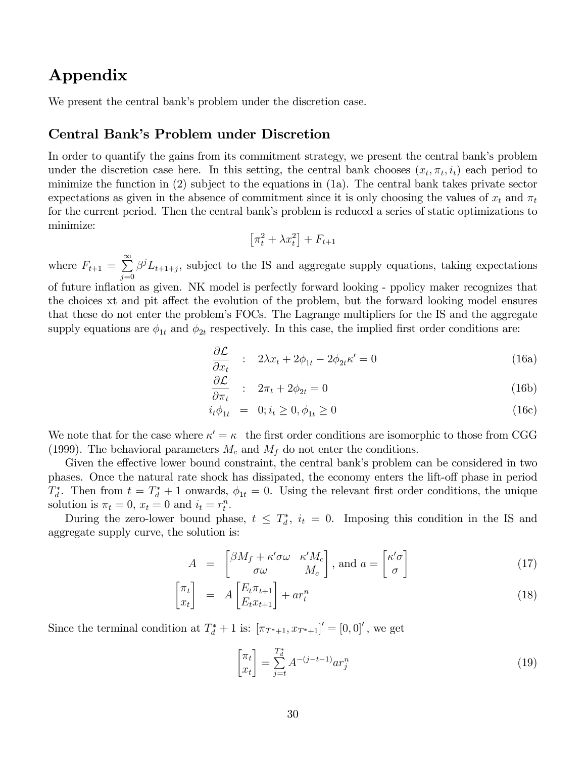## Appendix

We present the central bank's problem under the discretion case.

### Central Bank's Problem under Discretion

In order to quantify the gains from its commitment strategy, we present the central bank's problem under the discretion case here. In this setting, the central bank chooses  $(x_t, \pi_t, i_t)$  each period to minimize the function in (2) subject to the equations in (1a). The central bank takes private sector expectations as given in the absence of commitment since it is only choosing the values of  $x_t$  and  $\pi_t$ for the current period. Then the central bank's problem is reduced a series of static optimizations to minimize:

$$
\left[\pi_t^2 + \lambda x_t^2\right] + F_{t+1}
$$

where  $F_{t+1} = \sum_{ }^{\infty}$  $j=0$  $\beta^{j}L_{t+1+j}$ , subject to the IS and aggregate supply equations, taking expectations of future inflation as given. NK model is perfectly forward looking - ppolicy maker recognizes that the choices xt and pit affect the evolution of the problem, but the forward looking model ensures that these do not enter the problemís FOCs. The Lagrange multipliers for the IS and the aggregate supply equations are  $\phi_{1t}$  and  $\phi_{2t}$  respectively. In this case, the implied first order conditions are:

$$
\frac{\partial \mathcal{L}}{\partial x_t} : 2\lambda x_t + 2\phi_{1t} - 2\phi_{2t}\kappa' = 0 \tag{16a}
$$

$$
\frac{\partial \mathcal{L}}{\partial \pi_t} : 2\pi_t + 2\phi_{2t} = 0 \tag{16b}
$$

$$
i_t \phi_{1t} = 0; i_t \ge 0, \phi_{1t} \ge 0
$$
\n(16c)

We note that for the case where  $\kappa' = \kappa$  the first order conditions are isomorphic to those from CGG (1999). The behavioral parameters  $M_c$  and  $M_f$  do not enter the conditions.

Given the effective lower bound constraint, the central bank's problem can be considered in two phases. Once the natural rate shock has dissipated, the economy enters the lift-off phase in period  $T_d^*$ . Then from  $t = T_d^* + 1$  onwards,  $\phi_{1t} = 0$ . Using the relevant first order conditions, the unique solution is  $\pi_t = 0$ ,  $x_t = 0$  and  $i_t = r_t^n$ .

During the zero-lower bound phase,  $t \leq T_d^*$ ,  $i_t = 0$ . Imposing this condition in the IS and aggregate supply curve, the solution is:

$$
A = \begin{bmatrix} \beta M_f + \kappa' \sigma \omega & \kappa' M_c \\ \sigma \omega & M_c \end{bmatrix}, \text{ and } a = \begin{bmatrix} \kappa' \sigma \\ \sigma \end{bmatrix}
$$
 (17)

$$
\begin{bmatrix} \pi_t \\ x_t \end{bmatrix} = A \begin{bmatrix} E_t \pi_{t+1} \\ E_t x_{t+1} \end{bmatrix} + a r_t^n \tag{18}
$$

Since the terminal condition at  $T_d^* + 1$  is:  $[\pi_{T^*+1}, x_{T^*+1}]' = [0, 0]'$ , we get

$$
\begin{bmatrix} \pi_t \\ x_t \end{bmatrix} = \sum_{j=t}^{T_d^*} A^{-(j-t-1)} a r_j^n \tag{19}
$$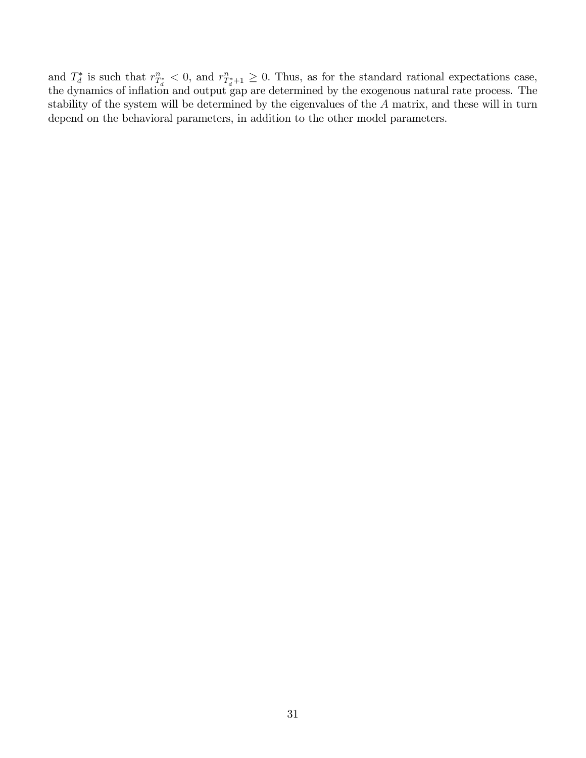and  $T_d^*$  is such that  $r_{T_d^*}^n < 0$ , and  $r_{T_d^*+1}^n \ge 0$ . Thus, as for the standard rational expectations case, the dynamics of inflation and output gap are determined by the exogenous natural rate process. The stability of the system will be determined by the eigenvalues of the A matrix, and these will in turn depend on the behavioral parameters, in addition to the other model parameters.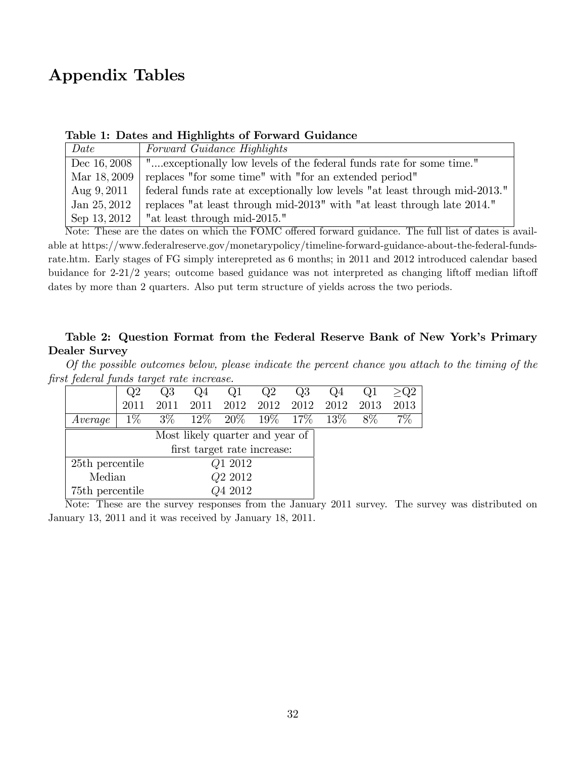# Appendix Tables

| Date         | Forward Guidance Highlights                                                 |
|--------------|-----------------------------------------------------------------------------|
| Dec 16, 2008 | "exceptionally low levels of the federal funds rate for some time."         |
| Mar 18, 2009 | replaces "for some time" with "for an extended period"                      |
| Aug $9,2011$ | federal funds rate at exceptionally low levels "at least through mid-2013." |
| Jan 25, 2012 | replaces "at least through mid-2013" with "at least through late 2014."     |
| Sep 13, 2012 | "at least through mid-2015."                                                |

### Table 1: Dates and Highlights of Forward Guidance

Note: These are the dates on which the FOMC offered forward guidance. The full list of dates is available at https://www.federalreserve.gov/monetarypolicy/timeline-forward-guidance-about-the-federal-fundsrate.htm. Early stages of FG simply interepreted as 6 months; in 2011 and 2012 introduced calendar based buidance for  $2-21/2$  years; outcome based guidance was not interpreted as changing liftoff median liftoff dates by more than 2 quarters. Also put term structure of yields across the two periods.

### Table 2: Question Format from the Federal Reserve Bank of New York's Primary Dealer Survey

Of the possible outcomes below, please indicate the percent chance you attach to the timing of the Örst federal funds target rate increase.

|                               | Q2                              | Q3    | Q4   |                | Q2 | Q3     | Q4   |      |      |
|-------------------------------|---------------------------------|-------|------|----------------|----|--------|------|------|------|
|                               | 2011                            | 2011  | 2011 | 2012 2012 2012 |    |        | 2012 | 2013 | 2013 |
| Average                       | $1\%$                           | $3\%$ |      | $12\%$ 20% 19% |    | $17\%$ | 13\% | 8\%  | 7%   |
|                               | Most likely quarter and year of |       |      |                |    |        |      |      |      |
| first target rate increase:   |                                 |       |      |                |    |        |      |      |      |
|                               | Q1 2012<br>25th percentile      |       |      |                |    |        |      |      |      |
| Q <sub>2</sub> 2012<br>Median |                                 |       |      |                |    |        |      |      |      |
| 75th percentile               |                                 |       |      | Q4 2012        |    |        |      |      |      |

Note: These are the survey responses from the January 2011 survey. The survey was distributed on January 13, 2011 and it was received by January 18, 2011.